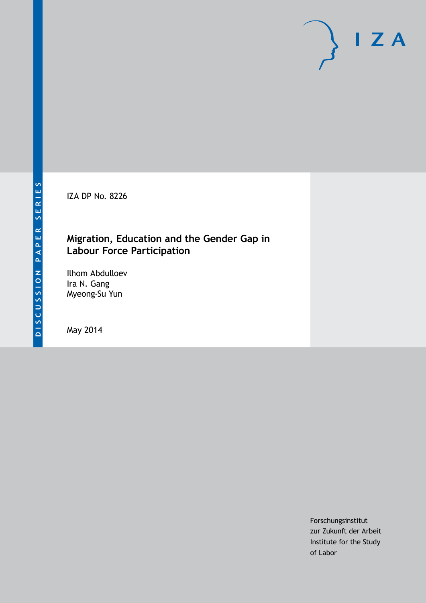IZA DP No. 8226

# **Migration, Education and the Gender Gap in Labour Force Participation**

Ilhom Abdulloev Ira N. Gang Myeong-Su Yun

May 2014

Forschungsinstitut zur Zukunft der Arbeit Institute for the Study of Labor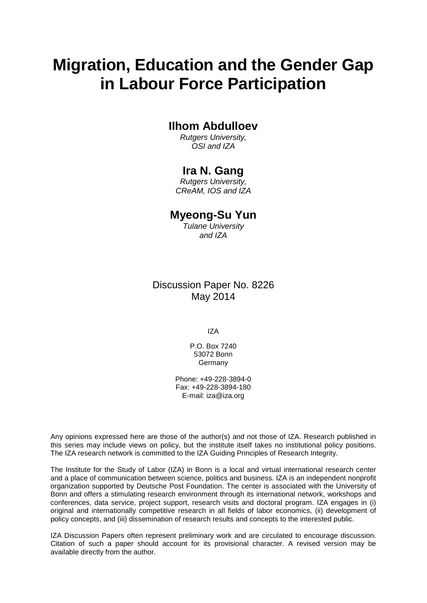# **Migration, Education and the Gender Gap in Labour Force Participation**

# **Ilhom Abdulloev**

*Rutgers University, OSI and IZA*

# **Ira N. Gang**

*Rutgers University, CReAM, IOS and IZA*

## **Myeong-Su Yun**

*Tulane University and IZA*

# Discussion Paper No. 8226 May 2014

IZA

P.O. Box 7240 53072 Bonn **Germany** 

Phone: +49-228-3894-0 Fax: +49-228-3894-180 E-mail: [iza@iza.org](mailto:iza@iza.org)

Any opinions expressed here are those of the author(s) and not those of IZA. Research published in this series may include views on policy, but the institute itself takes no institutional policy positions. The IZA research network is committed to the IZA Guiding Principles of Research Integrity.

The Institute for the Study of Labor (IZA) in Bonn is a local and virtual international research center and a place of communication between science, politics and business. IZA is an independent nonprofit organization supported by Deutsche Post Foundation. The center is associated with the University of Bonn and offers a stimulating research environment through its international network, workshops and conferences, data service, project support, research visits and doctoral program. IZA engages in (i) original and internationally competitive research in all fields of labor economics, (ii) development of policy concepts, and (iii) dissemination of research results and concepts to the interested public.

IZA Discussion Papers often represent preliminary work and are circulated to encourage discussion. Citation of such a paper should account for its provisional character. A revised version may be available directly from the author.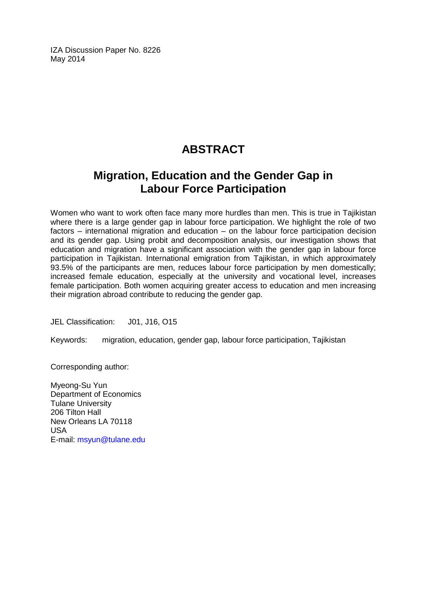IZA Discussion Paper No. 8226 May 2014

# **ABSTRACT**

# **Migration, Education and the Gender Gap in Labour Force Participation**

Women who want to work often face many more hurdles than men. This is true in Tajikistan where there is a large gender gap in labour force participation. We highlight the role of two factors – international migration and education – on the labour force participation decision and its gender gap. Using probit and decomposition analysis, our investigation shows that education and migration have a significant association with the gender gap in labour force participation in Tajikistan. International emigration from Tajikistan, in which approximately 93.5% of the participants are men, reduces labour force participation by men domestically; increased female education, especially at the university and vocational level, increases female participation. Both women acquiring greater access to education and men increasing their migration abroad contribute to reducing the gender gap.

JEL Classification: J01, J16, O15

Keywords: migration, education, gender gap, labour force participation, Tajikistan

Corresponding author:

Myeong-Su Yun Department of Economics Tulane University 206 Tilton Hall New Orleans LA 70118 USA E-mail: [msyun@tulane.edu](mailto:msyun@tulane.edu)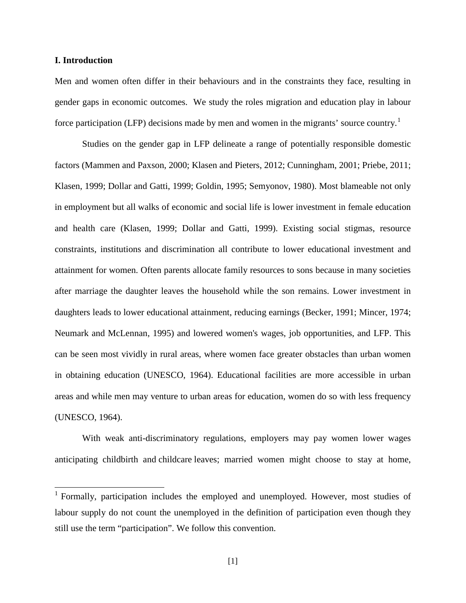#### **I. Introduction**

Men and women often differ in their behaviours and in the constraints they face, resulting in gender gaps in economic outcomes. We study the roles migration and education play in labour force participation (LFP) decisions made by men and women in the migrants' source country.<sup>1</sup>

Studies on the gender gap in LFP delineate a range of potentially responsible domestic factors (Mammen and Paxson, 2000; Klasen and Pieters, 2012; Cunningham, 2001; Priebe, 2011; Klasen, 1999; Dollar and Gatti, 1999; Goldin, 1995; Semyonov, 1980). Most blameable not only in employment but all walks of economic and social life is lower investment in female education and health care (Klasen, 1999; Dollar and Gatti, 1999). Existing social stigmas, resource constraints, institutions and discrimination all contribute to lower educational investment and attainment for women. Often parents allocate family resources to sons because in many societies after marriage the daughter leaves the household while the son remains. Lower investment in daughters leads to lower educational attainment, reducing earnings (Becker, 1991; Mincer, 1974; Neumark and McLennan, 1995) and lowered women's wages, job opportunities, and LFP. This can be seen most vividly in rural areas, where women face greater obstacles than urban women in obtaining education (UNESCO, 1964). Educational facilities are more accessible in urban areas and while men may venture to urban areas for education, women do so with less frequency (UNESCO, 1964).

With weak anti-discriminatory regulations, employers may pay women lower wages anticipating childbirth and childcare leaves; married women might choose to stay at home,

<span id="page-3-0"></span><sup>&</sup>lt;sup>1</sup> Formally, participation includes the employed and unemployed. However, most studies of labour supply do not count the unemployed in the definition of participation even though they still use the term "participation". We follow this convention.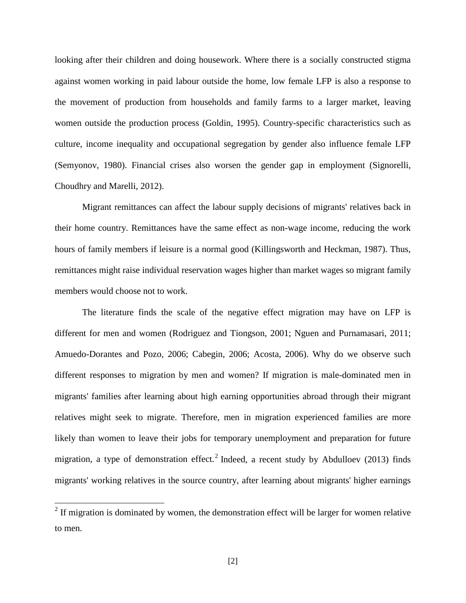looking after their children and doing housework. Where there is a socially constructed stigma against women working in paid labour outside the home, low female LFP is also a response to the movement of production from households and family farms to a larger market, leaving women outside the production process (Goldin, 1995). Country-specific characteristics such as culture, income inequality and occupational segregation by gender also influence female LFP (Semyonov, 1980). Financial crises also worsen the gender gap in employment (Signorelli, Choudhry and Marelli, 2012).

Migrant remittances can affect the labour supply decisions of migrants' relatives back in their home country. Remittances have the same effect as non-wage income, reducing the work hours of family members if leisure is a normal good (Killingsworth and Heckman, 1987). Thus, remittances might raise individual reservation wages higher than market wages so migrant family members would choose not to work.

The literature finds the scale of the negative effect migration may have on LFP is different for men and women (Rodriguez and Tiongson, 2001; Nguen and Purnamasari, 2011; Amuedo-Dorantes and Pozo, 2006; Cabegin, 2006; Acosta, 2006). Why do we observe such different responses to migration by men and women? If migration is male-dominated men in migrants' families after learning about high earning opportunities abroad through their migrant relatives might seek to migrate. Therefore, men in migration experienced families are more likely than women to leave their jobs for temporary unemployment and preparation for future migration, a type of demonstration effect.<sup>[2](#page-3-0)</sup> Indeed, a recent study by Abdulloev (2013) finds migrants' working relatives in the source country, after learning about migrants' higher earnings

<span id="page-4-0"></span> $2$  If migration is dominated by women, the demonstration effect will be larger for women relative to men.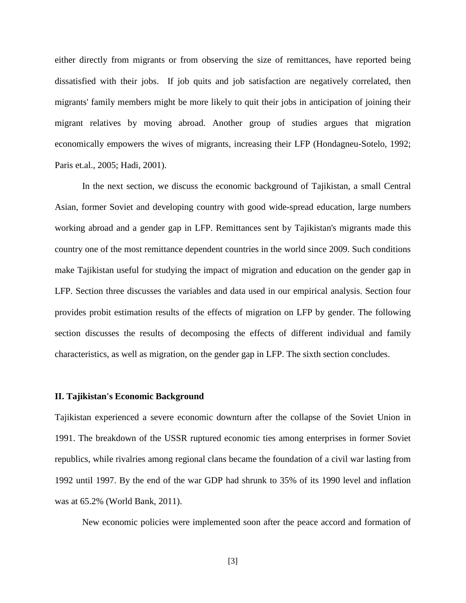either directly from migrants or from observing the size of remittances, have reported being dissatisfied with their jobs. If job quits and job satisfaction are negatively correlated, then migrants' family members might be more likely to quit their jobs in anticipation of joining their migrant relatives by moving abroad. Another group of studies argues that migration economically empowers the wives of migrants, increasing their LFP (Hondagneu-Sotelo, 1992; Paris et.al., 2005; Hadi, 2001).

In the next section, we discuss the economic background of Tajikistan, a small Central Asian, former Soviet and developing country with good wide-spread education, large numbers working abroad and a gender gap in LFP. Remittances sent by Tajikistan's migrants made this country one of the most remittance dependent countries in the world since 2009. Such conditions make Tajikistan useful for studying the impact of migration and education on the gender gap in LFP. Section three discusses the variables and data used in our empirical analysis. Section four provides probit estimation results of the effects of migration on LFP by gender. The following section discusses the results of decomposing the effects of different individual and family characteristics, as well as migration, on the gender gap in LFP. The sixth section concludes.

#### **II. Tajikistan's Economic Background**

Tajikistan experienced a severe economic downturn after the collapse of the Soviet Union in 1991. The breakdown of the USSR ruptured economic ties among enterprises in former Soviet republics, while rivalries among regional clans became the foundation of a civil war lasting from 1992 until 1997. By the end of the war GDP had shrunk to 35% of its 1990 level and inflation was at 65.2% (World Bank, 2011).

New economic policies were implemented soon after the peace accord and formation of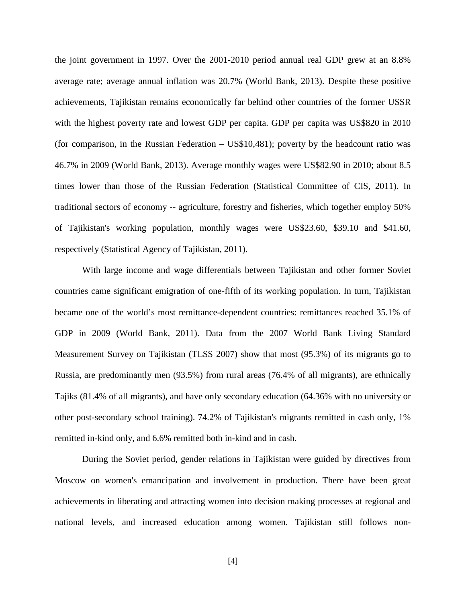the joint government in 1997. Over the 2001-2010 period annual real GDP grew at an 8.8% average rate; average annual inflation was 20.7% (World Bank, 2013). Despite these positive achievements, Tajikistan remains economically far behind other countries of the former USSR with the highest poverty rate and lowest GDP per capita. GDP per capita was US\$820 in 2010 (for comparison, in the Russian Federation – US\$10,481); poverty by the headcount ratio was 46.7% in 2009 (World Bank, 2013). Average monthly wages were US\$82.90 in 2010; about 8.5 times lower than those of the Russian Federation (Statistical Committee of CIS, 2011). In traditional sectors of economy -- agriculture, forestry and fisheries, which together employ 50% of Tajikistan's working population, monthly wages were US\$23.60, \$39.10 and \$41.60, respectively (Statistical Agency of Tajikistan, 2011).

With large income and wage differentials between Tajikistan and other former Soviet countries came significant emigration of one-fifth of its working population. In turn, Tajikistan became one of the world's most remittance-dependent countries: remittances reached 35.1% of GDP in 2009 (World Bank, 2011). Data from the 2007 World Bank Living Standard Measurement Survey on Tajikistan (TLSS 2007) show that most (95.3%) of its migrants go to Russia, are predominantly men (93.5%) from rural areas (76.4% of all migrants), are ethnically Tajiks (81.4% of all migrants), and have only secondary education (64.36% with no university or other post-secondary school training). 74.2% of Tajikistan's migrants remitted in cash only, 1% remitted in-kind only, and 6.6% remitted both in-kind and in cash.

During the Soviet period, gender relations in Tajikistan were guided by directives from Moscow on women's emancipation and involvement in production. There have been great achievements in liberating and attracting women into decision making processes at regional and national levels, and increased education among women. Tajikistan still follows non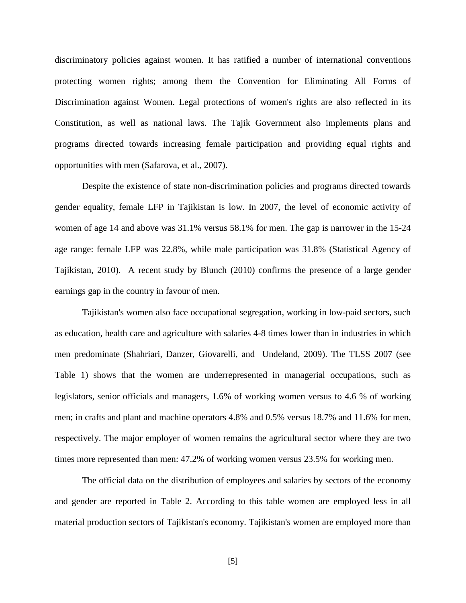discriminatory policies against women. It has ratified a number of international conventions protecting women rights; among them the Convention for Eliminating All Forms of Discrimination against Women. Legal protections of women's rights are also reflected in its Constitution, as well as national laws. The Tajik Government also implements plans and programs directed towards increasing female participation and providing equal rights and opportunities with men (Safarova, et al., 2007).

Despite the existence of state non-discrimination policies and programs directed towards gender equality, female LFP in Tajikistan is low. In 2007, the level of economic activity of women of age 14 and above was 31.1% versus 58.1% for men. The gap is narrower in the 15-24 age range: female LFP was 22.8%, while male participation was 31.8% (Statistical Agency of Tajikistan, 2010). A recent study by Blunch (2010) confirms the presence of a large gender earnings gap in the country in favour of men.

Tajikistan's women also face occupational segregation, working in low-paid sectors, such as education, health care and agriculture with salaries 4-8 times lower than in industries in which men predominate (Shahriari, Danzer, Giovarelli, and Undeland, 2009). The TLSS 2007 (see Table 1) shows that the women are underrepresented in managerial occupations, such as legislators, senior officials and managers, 1.6% of working women versus to 4.6 % of working men; in crafts and plant and machine operators 4.8% and 0.5% versus 18.7% and 11.6% for men, respectively. The major employer of women remains the agricultural sector where they are two times more represented than men: 47.2% of working women versus 23.5% for working men.

The official data on the distribution of employees and salaries by sectors of the economy and gender are reported in Table 2. According to this table women are employed less in all material production sectors of Tajikistan's economy. Tajikistan's women are employed more than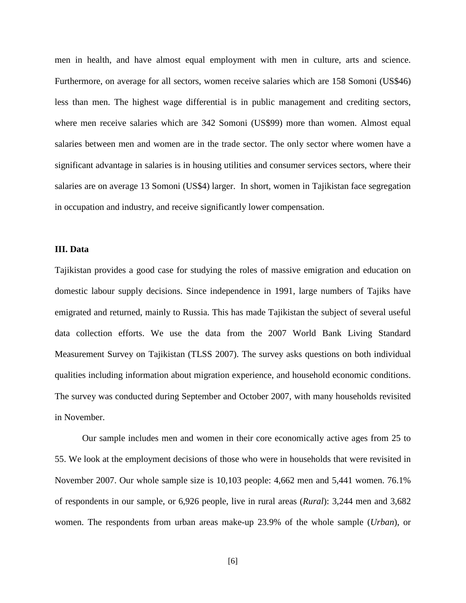men in health, and have almost equal employment with men in culture, arts and science. Furthermore, on average for all sectors, women receive salaries which are 158 Somoni (US\$46) less than men. The highest wage differential is in public management and crediting sectors, where men receive salaries which are 342 Somoni (US\$99) more than women. Almost equal salaries between men and women are in the trade sector. The only sector where women have a significant advantage in salaries is in housing utilities and consumer services sectors, where their salaries are on average 13 Somoni (US\$4) larger. In short, women in Tajikistan face segregation in occupation and industry, and receive significantly lower compensation.

#### **III. Data**

Tajikistan provides a good case for studying the roles of massive emigration and education on domestic labour supply decisions. Since independence in 1991, large numbers of Tajiks have emigrated and returned, mainly to Russia. This has made Tajikistan the subject of several useful data collection efforts. We use the data from the 2007 World Bank Living Standard Measurement Survey on Tajikistan (TLSS 2007). The survey asks questions on both individual qualities including information about migration experience, and household economic conditions. The survey was conducted during September and October 2007, with many households revisited in November.

Our sample includes men and women in their core economically active ages from 25 to 55. We look at the employment decisions of those who were in households that were revisited in November 2007. Our whole sample size is 10,103 people: 4,662 men and 5,441 women. 76.1% of respondents in our sample, or 6,926 people, live in rural areas (*Rural*): 3,244 men and 3,682 women. The respondents from urban areas make-up 23.9% of the whole sample (*Urban*), or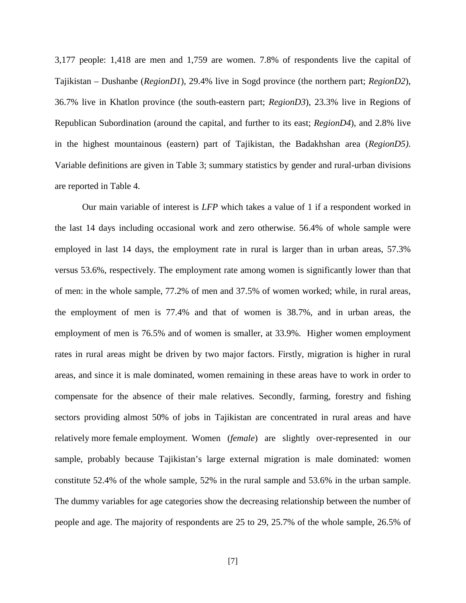3,177 people: 1,418 are men and 1,759 are women. 7.8% of respondents live the capital of Tajikistan – Dushanbe (*RegionD1*), 29.4% live in Sogd province (the northern part; *RegionD2*), 36.7% live in Khatlon province (the south-eastern part; *RegionD3*), 23.3% live in Regions of Republican Subordination (around the capital, and further to its east; *RegionD4*), and 2.8% live in the highest mountainous (eastern) part of Tajikistan, the Badakhshan area (*RegionD5)*. Variable definitions are given in Table 3; summary statistics by gender and rural-urban divisions are reported in Table 4.

Our main variable of interest is *LFP* which takes a value of 1 if a respondent worked in the last 14 days including occasional work and zero otherwise. 56.4% of whole sample were employed in last 14 days, the employment rate in rural is larger than in urban areas, 57.3% versus 53.6%, respectively. The employment rate among women is significantly lower than that of men: in the whole sample, 77.2% of men and 37.5% of women worked; while, in rural areas, the employment of men is 77.4% and that of women is 38.7%, and in urban areas, the employment of men is 76.5% and of women is smaller, at 33.9%. Higher women employment rates in rural areas might be driven by two major factors. Firstly, migration is higher in rural areas, and since it is male dominated, women remaining in these areas have to work in order to compensate for the absence of their male relatives. Secondly, farming, forestry and fishing sectors providing almost 50% of jobs in Tajikistan are concentrated in rural areas and have relatively more female employment. Women (*female*) are slightly over-represented in our sample, probably because Tajikistan's large external migration is male dominated: women constitute 52.4% of the whole sample, 52% in the rural sample and 53.6% in the urban sample. The dummy variables for age categories show the decreasing relationship between the number of people and age. The majority of respondents are 25 to 29, 25.7% of the whole sample, 26.5% of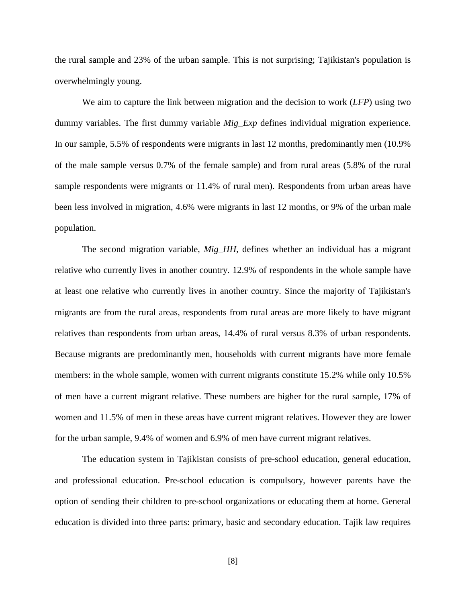the rural sample and 23% of the urban sample. This is not surprising; Tajikistan's population is overwhelmingly young.

We aim to capture the link between migration and the decision to work (*LFP*) using two dummy variables. The first dummy variable *Mig\_Exp* defines individual migration experience. In our sample, 5.5% of respondents were migrants in last 12 months, predominantly men (10.9% of the male sample versus 0.7% of the female sample) and from rural areas (5.8% of the rural sample respondents were migrants or 11.4% of rural men). Respondents from urban areas have been less involved in migration, 4.6% were migrants in last 12 months, or 9% of the urban male population.

The second migration variable, *Mig\_HH,* defines whether an individual has a migrant relative who currently lives in another country. 12.9% of respondents in the whole sample have at least one relative who currently lives in another country. Since the majority of Tajikistan's migrants are from the rural areas, respondents from rural areas are more likely to have migrant relatives than respondents from urban areas, 14.4% of rural versus 8.3% of urban respondents. Because migrants are predominantly men, households with current migrants have more female members: in the whole sample, women with current migrants constitute 15.2% while only 10.5% of men have a current migrant relative. These numbers are higher for the rural sample, 17% of women and 11.5% of men in these areas have current migrant relatives. However they are lower for the urban sample, 9.4% of women and 6.9% of men have current migrant relatives.

The education system in Tajikistan consists of pre-school education, general education, and professional education. Pre-school education is compulsory, however parents have the option of sending their children to pre-school organizations or educating them at home. General education is divided into three parts: primary, basic and secondary education. Tajik law requires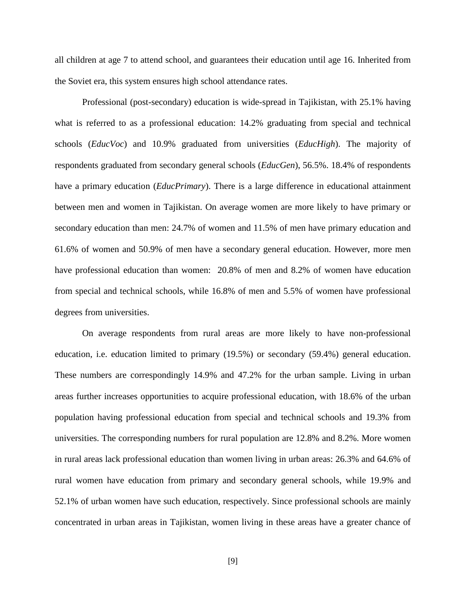all children at age 7 to attend school, and guarantees their education until age 16. Inherited from the Soviet era, this system ensures high school attendance rates.

Professional (post-secondary) education is wide-spread in Tajikistan, with 25.1% having what is referred to as a professional education: 14.2% graduating from special and technical schools (*EducVoc*) and 10.9% graduated from universities (*EducHigh*). The majority of respondents graduated from secondary general schools (*EducGen*), 56.5%. 18.4% of respondents have a primary education (*EducPrimary*). There is a large difference in educational attainment between men and women in Tajikistan. On average women are more likely to have primary or secondary education than men: 24.7% of women and 11.5% of men have primary education and 61.6% of women and 50.9% of men have a secondary general education. However, more men have professional education than women: 20.8% of men and 8.2% of women have education from special and technical schools, while 16.8% of men and 5.5% of women have professional degrees from universities.

On average respondents from rural areas are more likely to have non-professional education, i.e. education limited to primary (19.5%) or secondary (59.4%) general education. These numbers are correspondingly 14.9% and 47.2% for the urban sample. Living in urban areas further increases opportunities to acquire professional education, with 18.6% of the urban population having professional education from special and technical schools and 19.3% from universities. The corresponding numbers for rural population are 12.8% and 8.2%. More women in rural areas lack professional education than women living in urban areas: 26.3% and 64.6% of rural women have education from primary and secondary general schools, while 19.9% and 52.1% of urban women have such education, respectively. Since professional schools are mainly concentrated in urban areas in Tajikistan, women living in these areas have a greater chance of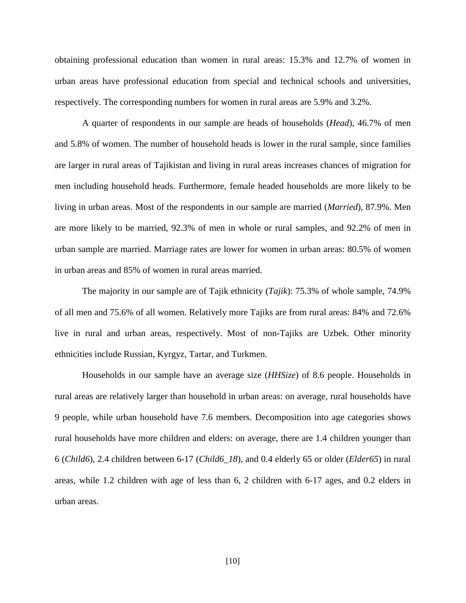obtaining professional education than women in rural areas: 15.3% and 12.7% of women in urban areas have professional education from special and technical schools and universities, respectively. The corresponding numbers for women in rural areas are 5.9% and 3.2%.

A quarter of respondents in our sample are heads of households (*Head*), 46.7% of men and 5.8% of women. The number of household heads is lower in the rural sample, since families are larger in rural areas of Tajikistan and living in rural areas increases chances of migration for men including household heads. Furthermore, female headed households are more likely to be living in urban areas. Most of the respondents in our sample are married (*Married*), 87.9%. Men are more likely to be married, 92.3% of men in whole or rural samples, and 92.2% of men in urban sample are married. Marriage rates are lower for women in urban areas: 80.5% of women in urban areas and 85% of women in rural areas married.

The majority in our sample are of Tajik ethnicity (*Tajik*): 75.3% of whole sample, 74.9% of all men and 75.6% of all women. Relatively more Tajiks are from rural areas: 84% and 72.6% live in rural and urban areas, respectively. Most of non-Tajiks are Uzbek. Other minority ethnicities include Russian, Kyrgyz, Tartar, and Turkmen.

Households in our sample have an average size (*HHSize*) of 8.6 people. Households in rural areas are relatively larger than household in urban areas: on average, rural households have 9 people, while urban household have 7.6 members. Decomposition into age categories shows rural households have more children and elders: on average, there are 1.4 children younger than 6 (*Child6*), 2.4 children between 6-17 (*Child6\_18*), and 0.4 elderly 65 or older (*Elder65*) in rural areas, while 1.2 children with age of less than 6, 2 children with 6-17 ages, and 0.2 elders in urban areas.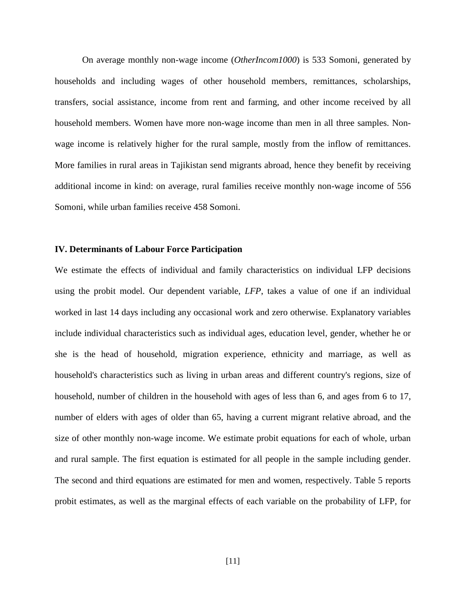On average monthly non-wage income (*OtherIncom1000*) is 533 Somoni, generated by households and including wages of other household members, remittances, scholarships, transfers, social assistance, income from rent and farming, and other income received by all household members. Women have more non-wage income than men in all three samples. Nonwage income is relatively higher for the rural sample, mostly from the inflow of remittances. More families in rural areas in Tajikistan send migrants abroad, hence they benefit by receiving additional income in kind: on average, rural families receive monthly non-wage income of 556 Somoni, while urban families receive 458 Somoni.

#### **IV. Determinants of Labour Force Participation**

We estimate the effects of individual and family characteristics on individual LFP decisions using the probit model. Our dependent variable, *LFP*, takes a value of one if an individual worked in last 14 days including any occasional work and zero otherwise. Explanatory variables include individual characteristics such as individual ages, education level, gender, whether he or she is the head of household, migration experience, ethnicity and marriage, as well as household's characteristics such as living in urban areas and different country's regions, size of household, number of children in the household with ages of less than 6, and ages from 6 to 17, number of elders with ages of older than 65, having a current migrant relative abroad, and the size of other monthly non-wage income. We estimate probit equations for each of whole, urban and rural sample. The first equation is estimated for all people in the sample including gender. The second and third equations are estimated for men and women, respectively. Table 5 reports probit estimates, as well as the marginal effects of each variable on the probability of LFP, for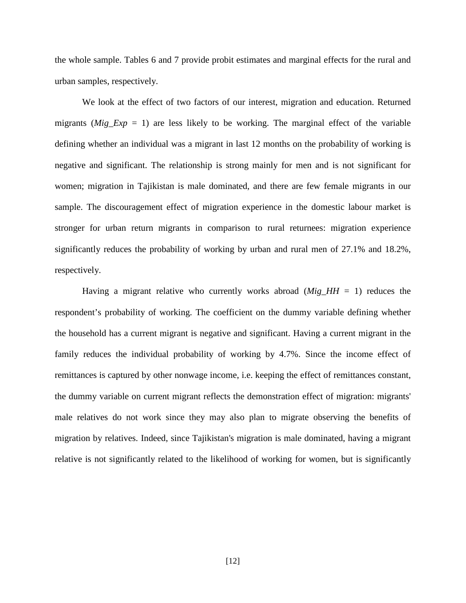the whole sample. Tables 6 and 7 provide probit estimates and marginal effects for the rural and urban samples, respectively.

We look at the effect of two factors of our interest, migration and education. Returned migrants (*Mig Exp* = 1) are less likely to be working. The marginal effect of the variable defining whether an individual was a migrant in last 12 months on the probability of working is negative and significant. The relationship is strong mainly for men and is not significant for women; migration in Tajikistan is male dominated, and there are few female migrants in our sample. The discouragement effect of migration experience in the domestic labour market is stronger for urban return migrants in comparison to rural returnees: migration experience significantly reduces the probability of working by urban and rural men of 27.1% and 18.2%, respectively.

Having a migrant relative who currently works abroad  $(Mig_HHI = 1)$  reduces the respondent's probability of working. The coefficient on the dummy variable defining whether the household has a current migrant is negative and significant. Having a current migrant in the family reduces the individual probability of working by 4.7%. Since the income effect of remittances is captured by other nonwage income, i.e. keeping the effect of remittances constant, the dummy variable on current migrant reflects the demonstration effect of migration: migrants' male relatives do not work since they may also plan to migrate observing the benefits of migration by relatives. Indeed, since Tajikistan's migration is male dominated, having a migrant relative is not significantly related to the likelihood of working for women, but is significantly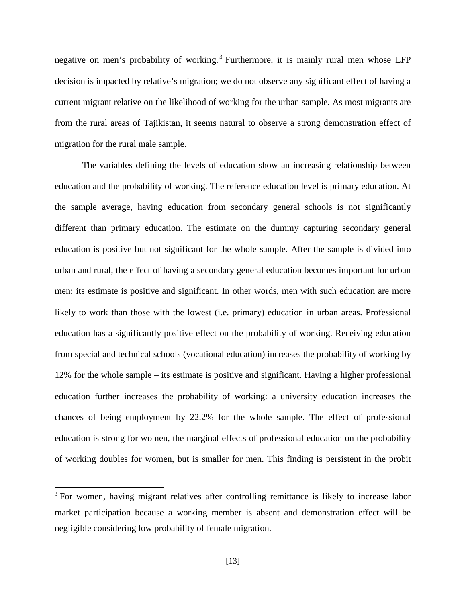negative on men's probability of working.<sup>[3](#page-4-0)</sup> Furthermore, it is mainly rural men whose LFP decision is impacted by relative's migration; we do not observe any significant effect of having a current migrant relative on the likelihood of working for the urban sample. As most migrants are from the rural areas of Tajikistan, it seems natural to observe a strong demonstration effect of migration for the rural male sample.

The variables defining the levels of education show an increasing relationship between education and the probability of working. The reference education level is primary education. At the sample average, having education from secondary general schools is not significantly different than primary education. The estimate on the dummy capturing secondary general education is positive but not significant for the whole sample. After the sample is divided into urban and rural, the effect of having a secondary general education becomes important for urban men: its estimate is positive and significant. In other words, men with such education are more likely to work than those with the lowest (i.e. primary) education in urban areas. Professional education has a significantly positive effect on the probability of working. Receiving education from special and technical schools (vocational education) increases the probability of working by 12% for the whole sample – its estimate is positive and significant. Having a higher professional education further increases the probability of working: a university education increases the chances of being employment by 22.2% for the whole sample. The effect of professional education is strong for women, the marginal effects of professional education on the probability of working doubles for women, but is smaller for men. This finding is persistent in the probit

<span id="page-15-0"></span><sup>&</sup>lt;sup>3</sup> For women, having migrant relatives after controlling remittance is likely to increase labor market participation because a working member is absent and demonstration effect will be negligible considering low probability of female migration.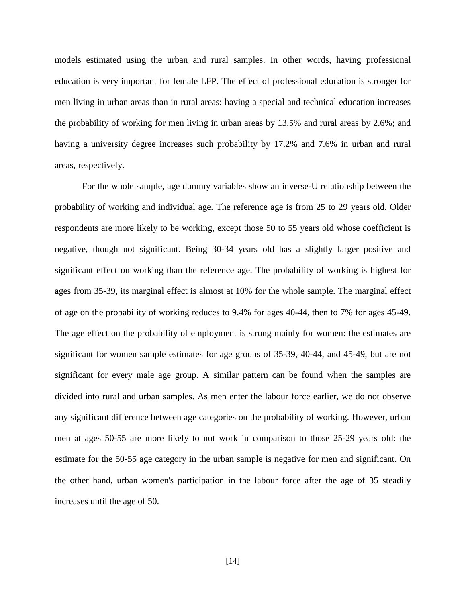models estimated using the urban and rural samples. In other words, having professional education is very important for female LFP. The effect of professional education is stronger for men living in urban areas than in rural areas: having a special and technical education increases the probability of working for men living in urban areas by 13.5% and rural areas by 2.6%; and having a university degree increases such probability by 17.2% and 7.6% in urban and rural areas, respectively.

For the whole sample, age dummy variables show an inverse-U relationship between the probability of working and individual age. The reference age is from 25 to 29 years old. Older respondents are more likely to be working, except those 50 to 55 years old whose coefficient is negative, though not significant. Being 30-34 years old has a slightly larger positive and significant effect on working than the reference age. The probability of working is highest for ages from 35-39, its marginal effect is almost at 10% for the whole sample. The marginal effect of age on the probability of working reduces to 9.4% for ages 40-44, then to 7% for ages 45-49. The age effect on the probability of employment is strong mainly for women: the estimates are significant for women sample estimates for age groups of 35-39, 40-44, and 45-49, but are not significant for every male age group. A similar pattern can be found when the samples are divided into rural and urban samples. As men enter the labour force earlier, we do not observe any significant difference between age categories on the probability of working. However, urban men at ages 50-55 are more likely to not work in comparison to those 25-29 years old: the estimate for the 50-55 age category in the urban sample is negative for men and significant. On the other hand, urban women's participation in the labour force after the age of 35 steadily increases until the age of 50.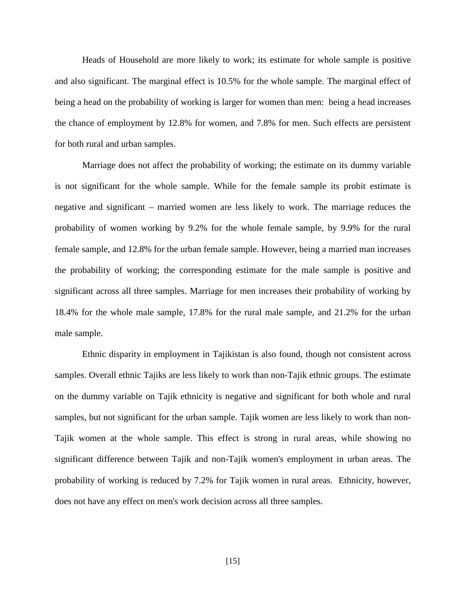Heads of Household are more likely to work; its estimate for whole sample is positive and also significant. The marginal effect is 10.5% for the whole sample. The marginal effect of being a head on the probability of working is larger for women than men: being a head increases the chance of employment by 12.8% for women, and 7.8% for men. Such effects are persistent for both rural and urban samples.

Marriage does not affect the probability of working; the estimate on its dummy variable is not significant for the whole sample. While for the female sample its probit estimate is negative and significant – married women are less likely to work. The marriage reduces the probability of women working by 9.2% for the whole female sample, by 9.9% for the rural female sample, and 12.8% for the urban female sample. However, being a married man increases the probability of working; the corresponding estimate for the male sample is positive and significant across all three samples. Marriage for men increases their probability of working by 18.4% for the whole male sample, 17.8% for the rural male sample, and 21.2% for the urban male sample.

Ethnic disparity in employment in Tajikistan is also found, though not consistent across samples. Overall ethnic Tajiks are less likely to work than non-Tajik ethnic groups. The estimate on the dummy variable on Tajik ethnicity is negative and significant for both whole and rural samples, but not significant for the urban sample. Tajik women are less likely to work than non-Tajik women at the whole sample. This effect is strong in rural areas, while showing no significant difference between Tajik and non-Tajik women's employment in urban areas. The probability of working is reduced by 7.2% for Tajik women in rural areas. Ethnicity, however, does not have any effect on men's work decision across all three samples.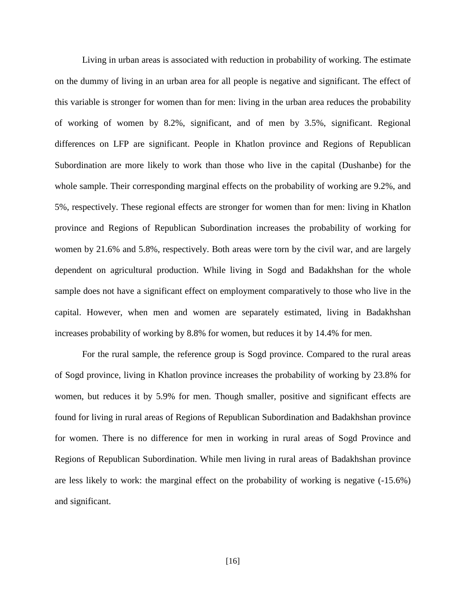Living in urban areas is associated with reduction in probability of working. The estimate on the dummy of living in an urban area for all people is negative and significant. The effect of this variable is stronger for women than for men: living in the urban area reduces the probability of working of women by 8.2%, significant, and of men by 3.5%, significant. Regional differences on LFP are significant. People in Khatlon province and Regions of Republican Subordination are more likely to work than those who live in the capital (Dushanbe) for the whole sample. Their corresponding marginal effects on the probability of working are 9.2%, and 5%, respectively. These regional effects are stronger for women than for men: living in Khatlon province and Regions of Republican Subordination increases the probability of working for women by 21.6% and 5.8%, respectively. Both areas were torn by the civil war, and are largely dependent on agricultural production. While living in Sogd and Badakhshan for the whole sample does not have a significant effect on employment comparatively to those who live in the capital. However, when men and women are separately estimated, living in Badakhshan increases probability of working by 8.8% for women, but reduces it by 14.4% for men.

For the rural sample, the reference group is Sogd province. Compared to the rural areas of Sogd province, living in Khatlon province increases the probability of working by 23.8% for women, but reduces it by 5.9% for men. Though smaller, positive and significant effects are found for living in rural areas of Regions of Republican Subordination and Badakhshan province for women. There is no difference for men in working in rural areas of Sogd Province and Regions of Republican Subordination. While men living in rural areas of Badakhshan province are less likely to work: the marginal effect on the probability of working is negative (-15.6%) and significant.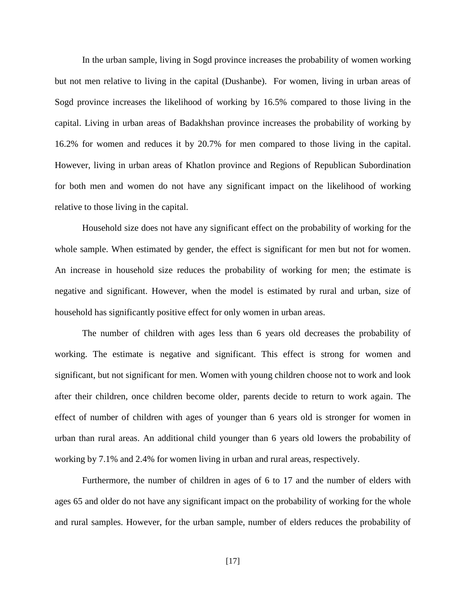In the urban sample, living in Sogd province increases the probability of women working but not men relative to living in the capital (Dushanbe). For women, living in urban areas of Sogd province increases the likelihood of working by 16.5% compared to those living in the capital. Living in urban areas of Badakhshan province increases the probability of working by 16.2% for women and reduces it by 20.7% for men compared to those living in the capital. However, living in urban areas of Khatlon province and Regions of Republican Subordination for both men and women do not have any significant impact on the likelihood of working relative to those living in the capital.

Household size does not have any significant effect on the probability of working for the whole sample. When estimated by gender, the effect is significant for men but not for women. An increase in household size reduces the probability of working for men; the estimate is negative and significant. However, when the model is estimated by rural and urban, size of household has significantly positive effect for only women in urban areas.

The number of children with ages less than 6 years old decreases the probability of working. The estimate is negative and significant. This effect is strong for women and significant, but not significant for men. Women with young children choose not to work and look after their children, once children become older, parents decide to return to work again. The effect of number of children with ages of younger than 6 years old is stronger for women in urban than rural areas. An additional child younger than 6 years old lowers the probability of working by 7.1% and 2.4% for women living in urban and rural areas, respectively.

Furthermore, the number of children in ages of 6 to 17 and the number of elders with ages 65 and older do not have any significant impact on the probability of working for the whole and rural samples. However, for the urban sample, number of elders reduces the probability of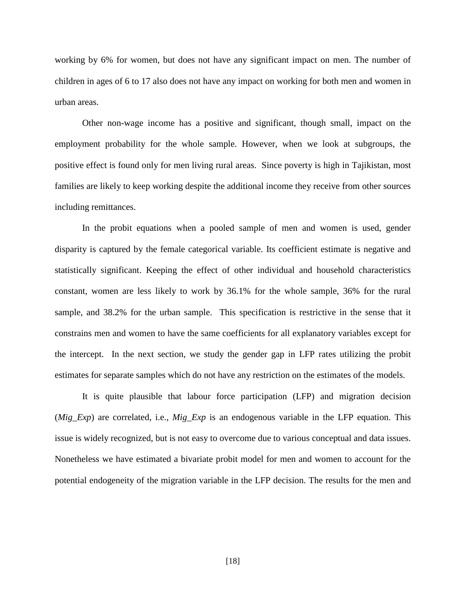working by 6% for women, but does not have any significant impact on men. The number of children in ages of 6 to 17 also does not have any impact on working for both men and women in urban areas.

Other non-wage income has a positive and significant, though small, impact on the employment probability for the whole sample. However, when we look at subgroups, the positive effect is found only for men living rural areas. Since poverty is high in Tajikistan, most families are likely to keep working despite the additional income they receive from other sources including remittances.

In the probit equations when a pooled sample of men and women is used, gender disparity is captured by the female categorical variable. Its coefficient estimate is negative and statistically significant. Keeping the effect of other individual and household characteristics constant, women are less likely to work by 36.1% for the whole sample, 36% for the rural sample, and 38.2% for the urban sample. This specification is restrictive in the sense that it constrains men and women to have the same coefficients for all explanatory variables except for the intercept. In the next section, we study the gender gap in LFP rates utilizing the probit estimates for separate samples which do not have any restriction on the estimates of the models.

It is quite plausible that labour force participation (LFP) and migration decision (*Mig\_Exp*) are correlated, i.e., *Mig\_Exp* is an endogenous variable in the LFP equation. This issue is widely recognized, but is not easy to overcome due to various conceptual and data issues. Nonetheless we have estimated a bivariate probit model for men and women to account for the potential endogeneity of the migration variable in the LFP decision. The results for the men and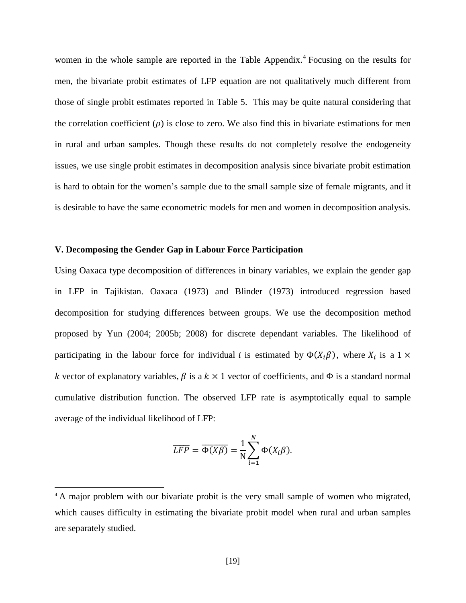women in the whole sample are reported in the Table Appendix.<sup>[4](#page-15-0)</sup> Focusing on the results for men, the bivariate probit estimates of LFP equation are not qualitatively much different from those of single probit estimates reported in Table 5. This may be quite natural considering that the correlation coefficient  $(\rho)$  is close to zero. We also find this in bivariate estimations for men in rural and urban samples. Though these results do not completely resolve the endogeneity issues, we use single probit estimates in decomposition analysis since bivariate probit estimation is hard to obtain for the women's sample due to the small sample size of female migrants, and it is desirable to have the same econometric models for men and women in decomposition analysis.

#### **V. Decomposing the Gender Gap in Labour Force Participation**

Using Oaxaca type decomposition of differences in binary variables, we explain the gender gap in LFP in Tajikistan. Oaxaca (1973) and Blinder (1973) introduced regression based decomposition for studying differences between groups. We use the decomposition method proposed by Yun (2004; 2005b; 2008) for discrete dependant variables. The likelihood of participating in the labour force for individual *i* is estimated by  $\Phi(X_i \beta)$ , where  $X_i$  is a 1  $\times$ k vector of explanatory variables,  $\beta$  is a  $k \times 1$  vector of coefficients, and  $\Phi$  is a standard normal cumulative distribution function. The observed LFP rate is asymptotically equal to sample average of the individual likelihood of LFP:

$$
\overline{LFP} = \overline{\Phi(X\beta)} = \frac{1}{N} \sum_{i=1}^{N} \Phi(X_i \beta).
$$

<span id="page-21-0"></span><sup>&</sup>lt;sup>4</sup> A major problem with our bivariate probit is the very small sample of women who migrated, which causes difficulty in estimating the bivariate probit model when rural and urban samples are separately studied.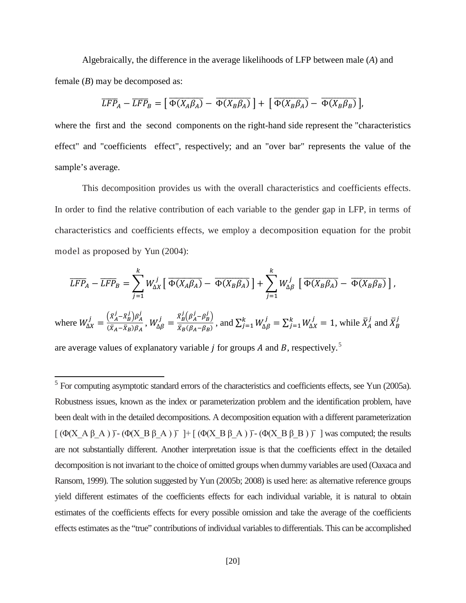Algebraically, the difference in the average likelihoods of LFP between male  $(A)$  and female  $(B)$  may be decomposed as:

$$
\overline{LFP}_A - \overline{LFP}_B = \left[ \overline{\Phi(X_A\beta_A)} - \overline{\Phi(X_B\beta_A)} \right] + \left[ \overline{\Phi(X_B\beta_A)} - \overline{\Phi(X_B\beta_B)} \right],
$$

where the first and the second components on the right-hand side represent the "characteristics" effect" and "coefficients effect", respectively; and an "over bar" represents the value of the sample's average.

This decomposition provides us with the overall characteristics and coefficients effects. In order to find the relative contribution of each variable to the gender gap in LFP, in terms of characteristics and coefficients effects, we employ a decomposition equation for the probit model as proposed by Yun (2004):

$$
\overline{LFP}_A - \overline{LFP}_B = \sum_{j=1}^k W_{\Delta X}^j \left[ \overline{\Phi(X_A \beta_A)} - \overline{\Phi(X_B \beta_A)} \right] + \sum_{j=1}^k W_{\Delta \beta}^j \left[ \overline{\Phi(X_B \beta_A)} - \overline{\Phi(X_B \beta_B)} \right],
$$

where  $W_{\Delta X}^j = \frac{(\bar{x}_A^j - \bar{x}_B^j)\beta_A^j}{(\bar{x}_A - \bar{x}_B)\beta_A}$ ,  $W_{\Delta\beta}^j = \frac{\bar{x}_B^j(\beta_A^j - \beta_B^j)}{\bar{x}_B(\beta_A - \beta_B)}$ , and  $\sum_{j=1}^k W_{\Delta\beta}^j = \sum_{j=1}^k W_{\Delta X}^j = 1$ , while  $\bar{X}_A^j$  and  $\bar{X}_B^j$ 

are average values of explanatory variable *j* for groups *A* and *B*, respectively.<sup>5</sup>

<span id="page-22-0"></span> $5$  For computing asymptotic standard errors of the characteristics and coefficients effects, see Yun (2005a). Robustness issues, known as the index or parameterization problem and the identification problem, have been dealt with in the detailed decompositions. A decomposition equation with a different parameterization  $[$  ( $\Phi(X_A \beta_A)$ )  $\bar{\Phi}(X_B \beta_A)$   $\bar{\Phi}(X_B \beta_A)$  +  $[$  ( $\Phi(X_B \beta_A)$ )  $\bar{\Phi}(X_B \beta_B)$   $\bar{\Phi}(X_B \beta_B)$   $\bar{\Phi}(X_B \beta_A)$  and  $\bar{\Phi}(X_B \beta_A)$ are not substantially different. Another interpretation issue is that the coefficients effect in the detailed decomposition is not invariant to the choice of omitted groups when dummy variables are used (Oaxaca and Ransom, 1999). The solution suggested by Yun (2005b; 2008) is used here: as alternative reference groups yield different estimates of the coefficients effects for each individual variable, it is natural to obtain estimates of the coefficients effects for every possible omission and take the average of the coefficients effects estimates as the "true" contributions of individual variables to differentials. This can be accomplished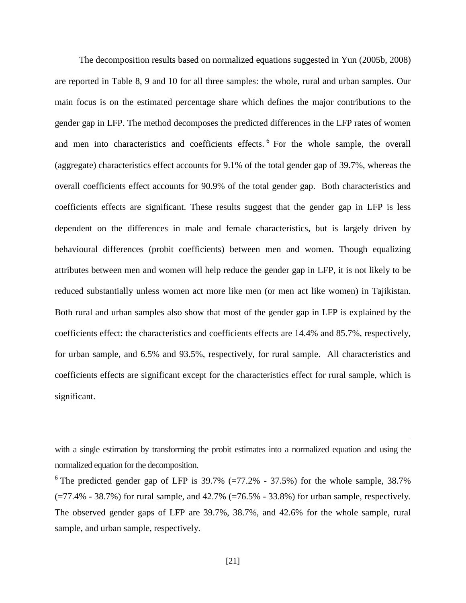The decomposition results based on normalized equations suggested in Yun (2005b, 2008) are reported in Table 8, 9 and 10 for all three samples: the whole, rural and urban samples. Our main focus is on the estimated percentage share which defines the major contributions to the gender gap in LFP. The method decomposes the predicted differences in the LFP rates of women and men into characteristics and coefficients effects. <sup>[6](#page-22-0)</sup> For the whole sample, the overall (aggregate) characteristics effect accounts for 9.1% of the total gender gap of 39.7%, whereas the overall coefficients effect accounts for 90.9% of the total gender gap. Both characteristics and coefficients effects are significant. These results suggest that the gender gap in LFP is less dependent on the differences in male and female characteristics, but is largely driven by behavioural differences (probit coefficients) between men and women. Though equalizing attributes between men and women will help reduce the gender gap in LFP, it is not likely to be reduced substantially unless women act more like men (or men act like women) in Tajikistan. Both rural and urban samples also show that most of the gender gap in LFP is explained by the coefficients effect: the characteristics and coefficients effects are 14.4% and 85.7%, respectively, for urban sample, and 6.5% and 93.5%, respectively, for rural sample. All characteristics and coefficients effects are significant except for the characteristics effect for rural sample, which is significant.

 $\overline{a}$ 

with a single estimation by transforming the probit estimates into a normalized equation and using the normalized equation for the decomposition.

<sup>&</sup>lt;sup>6</sup> The predicted gender gap of LFP is  $39.7\%$  (=77.2\% - 37.5\%) for the whole sample,  $38.7\%$  $(=77.4\% - 38.7\%)$  for rural sample, and  $42.7\%$   $(=76.5\% - 33.8\%)$  for urban sample, respectively. The observed gender gaps of LFP are 39.7%, 38.7%, and 42.6% for the whole sample, rural sample, and urban sample, respectively.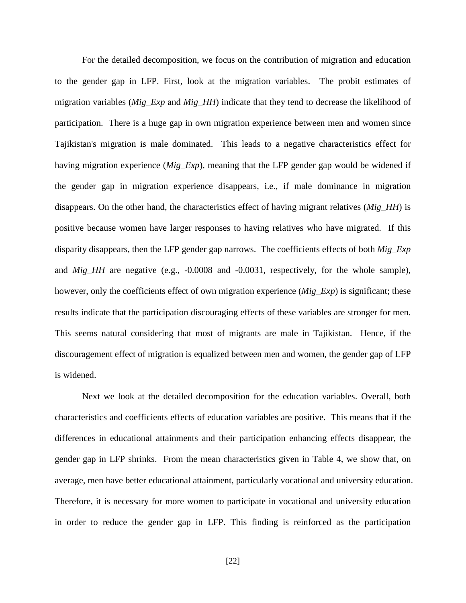For the detailed decomposition, we focus on the contribution of migration and education to the gender gap in LFP. First, look at the migration variables. The probit estimates of migration variables (*Mig\_Exp* and *Mig\_HH*) indicate that they tend to decrease the likelihood of participation. There is a huge gap in own migration experience between men and women since Tajikistan's migration is male dominated. This leads to a negative characteristics effect for having migration experience (*Mig\_Exp*), meaning that the LFP gender gap would be widened if the gender gap in migration experience disappears, i.e., if male dominance in migration disappears. On the other hand, the characteristics effect of having migrant relatives (*Mig\_HH*) is positive because women have larger responses to having relatives who have migrated. If this disparity disappears, then the LFP gender gap narrows. The coefficients effects of both *Mig\_Exp* and *Mig\_HH* are negative (e.g., -0.0008 and -0.0031, respectively, for the whole sample), however, only the coefficients effect of own migration experience (*Mig\_Exp*) is significant; these results indicate that the participation discouraging effects of these variables are stronger for men. This seems natural considering that most of migrants are male in Tajikistan. Hence, if the discouragement effect of migration is equalized between men and women, the gender gap of LFP is widened.

Next we look at the detailed decomposition for the education variables. Overall, both characteristics and coefficients effects of education variables are positive. This means that if the differences in educational attainments and their participation enhancing effects disappear, the gender gap in LFP shrinks. From the mean characteristics given in Table 4, we show that, on average, men have better educational attainment, particularly vocational and university education. Therefore, it is necessary for more women to participate in vocational and university education in order to reduce the gender gap in LFP. This finding is reinforced as the participation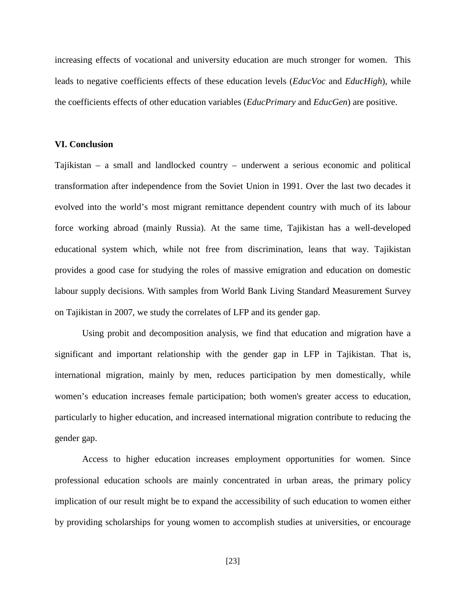increasing effects of vocational and university education are much stronger for women. This leads to negative coefficients effects of these education levels (*EducVoc* and *EducHigh*), while the coefficients effects of other education variables (*EducPrimary* and *EducGen*) are positive.

#### **VI. Conclusion**

Tajikistan – a small and landlocked country – underwent a serious economic and political transformation after independence from the Soviet Union in 1991. Over the last two decades it evolved into the world's most migrant remittance dependent country with much of its labour force working abroad (mainly Russia). At the same time, Tajikistan has a well-developed educational system which, while not free from discrimination, leans that way. Tajikistan provides a good case for studying the roles of massive emigration and education on domestic labour supply decisions. With samples from World Bank Living Standard Measurement Survey on Tajikistan in 2007, we study the correlates of LFP and its gender gap.

Using probit and decomposition analysis, we find that education and migration have a significant and important relationship with the gender gap in LFP in Tajikistan. That is, international migration, mainly by men, reduces participation by men domestically, while women's education increases female participation; both women's greater access to education, particularly to higher education, and increased international migration contribute to reducing the gender gap.

Access to higher education increases employment opportunities for women. Since professional education schools are mainly concentrated in urban areas, the primary policy implication of our result might be to expand the accessibility of such education to women either by providing scholarships for young women to accomplish studies at universities, or encourage

[23]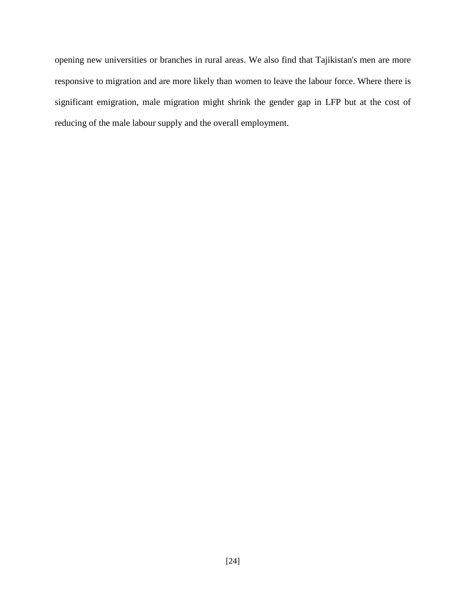opening new universities or branches in rural areas. We also find that Tajikistan's men are more responsive to migration and are more likely than women to leave the labour force. Where there is significant emigration, male migration might shrink the gender gap in LFP but at the cost of reducing of the male labour supply and the overall employment.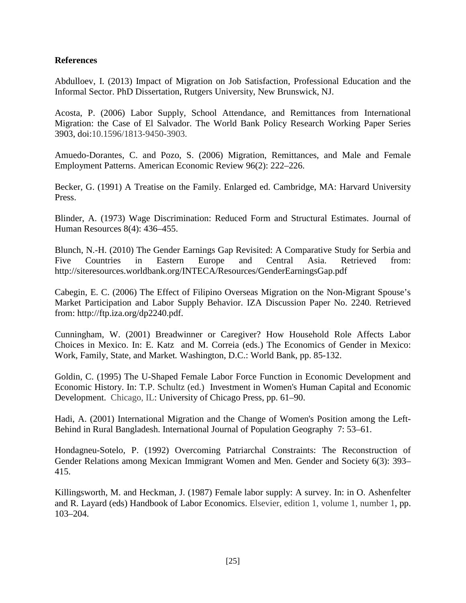### **References**

Abdulloev, I. (2013) Impact of Migration on Job Satisfaction, Professional Education and the Informal Sector. PhD Dissertation, Rutgers University, New Brunswick, NJ.

Acosta, P. (2006) Labor Supply, School Attendance, and Remittances from International Migration: the Case of El Salvador. The World Bank Policy Research Working Paper Series 3903, doi:10.1596/1813-9450-3903.

Amuedo-Dorantes, C. and Pozo, S. (2006) Migration, Remittances, and Male and Female Employment Patterns. American Economic Review 96(2): 222–226.

Becker, G. (1991) A Treatise on the Family. Enlarged ed. Cambridge, MA: Harvard University Press.

Blinder, A. (1973) Wage Discrimination: Reduced Form and Structural Estimates. Journal of Human Resources 8(4): 436–455.

Blunch, N.-H. (2010) The Gender Earnings Gap Revisited: A Comparative Study for Serbia and Five Countries in Eastern Europe and Central Asia. Retrieved from: http://siteresources.worldbank.org/INTECA/Resources/GenderEarningsGap.pdf

Cabegin, E. C. (2006) The Effect of Filipino Overseas Migration on the Non-Migrant Spouse's Market Participation and Labor Supply Behavior. IZA Discussion Paper No. 2240*.* Retrieved from: http://ftp.iza.org/dp2240.pdf.

Cunningham, W. (2001) Breadwinner or Caregiver? How Household Role Affects Labor Choices in Mexico. In: E. Katz and M. Correia (eds.) The Economics of Gender in Mexico: Work, Family, State, and Market*.* Washington, D.C.: World Bank, pp. 85-132.

Goldin, C. (1995) The U-Shaped Female Labor Force Function in Economic Development and Economic History. In: T.P. Schultz (ed.) Investment in Women's Human Capital and Economic Development. Chicago, IL: University of Chicago Press, pp. 61–90.

Hadi, A. (2001) International Migration and the Change of Women's Position among the Left-Behind in Rural Bangladesh. International Journal of Population Geography 7: 53–61.

Hondagneu-Sotelo, P. (1992) Overcoming Patriarchal Constraints: The Reconstruction of Gender Relations among Mexican Immigrant Women and Men. Gender and Society 6(3): 393– 415.

Killingsworth, M. and Heckman, J. (1987) Female labor supply: A survey. In: in O. Ashenfelter and R. Layard (eds) Handbook of Labor Economics. Elsevier, edition 1, volume 1, number 1, pp. 103–204.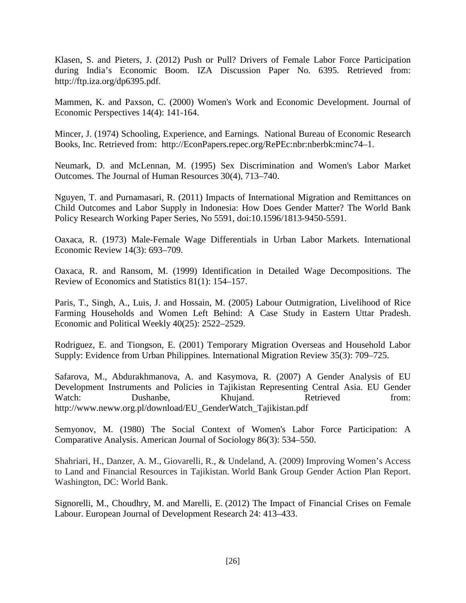Klasen, S. and Pieters, J. (2012) Push or Pull? Drivers of Female Labor Force Participation during India's Economic Boom. IZA Discussion Paper No. 6395. Retrieved from: http://ftp.iza.org/dp6395.pdf.

Mammen, K. and Paxson, C. (2000) Women's Work and Economic Development. Journal of Economic Perspectives 14(4): 141-164.

Mincer, J. (1974) Schooling, Experience, and Earnings*.* National Bureau of Economic Research Books, Inc. Retrieved from: http://EconPapers.repec.org/RePEc:nbr:nberbk:minc74–1.

Neumark, D. and McLennan, M. (1995) Sex Discrimination and Women's Labor Market Outcomes. The Journal of Human Resources 30(4), 713–740.

Nguyen, T. and Purnamasari, R. (2011) Impacts of International Migration and Remittances on Child Outcomes and Labor Supply in Indonesia: How Does Gender Matter? The World Bank Policy Research Working Paper Series, No 5591, doi:10.1596/1813-9450-5591.

Oaxaca, R. (1973) Male-Female Wage Differentials in Urban Labor Markets. International Economic Review 14(3): 693–709.

Oaxaca, R. and Ransom, M. (1999) Identification in Detailed Wage Decompositions. The Review of Economics and Statistics 81(1): 154–157.

Paris, T., Singh, A., Luis, J. and Hossain, M. (2005) Labour Outmigration, Livelihood of Rice Farming Households and Women Left Behind: A Case Study in Eastern Uttar Pradesh. Economic and Political Weekly 40(25): 2522–2529.

Rodriguez, E. and Tiongson, E. (2001) Temporary Migration Overseas and Household Labor Supply: Evidence from Urban Philippines. International Migration Review 35(3): 709–725.

Safarova, M., Abdurakhmanova, A. and Kasymova, R. (2007) A Gender Analysis of EU Development Instruments and Policies in Tajikistan Representing Central Asia. EU Gender Watch: Dushanbe, Khujand. Retrieved from: http://www.neww.org.pl/download/EU\_GenderWatch\_Tajikistan.pdf

Semyonov, M. (1980) The Social Context of Women's Labor Force Participation: A Comparative Analysis. American Journal of Sociology 86(3): 534–550.

Shahriari, H., Danzer, A. M., Giovarelli, R., & Undeland, A. (2009) Improving Women's Access to Land and Financial Resources in Tajikistan. World Bank Group Gender Action Plan Report. Washington, DC: World Bank.

Signorelli, M., Choudhry, M. and Marelli, E. (2012) The Impact of Financial Crises on Female Labour. European Journal of Development Research 24: 413–433.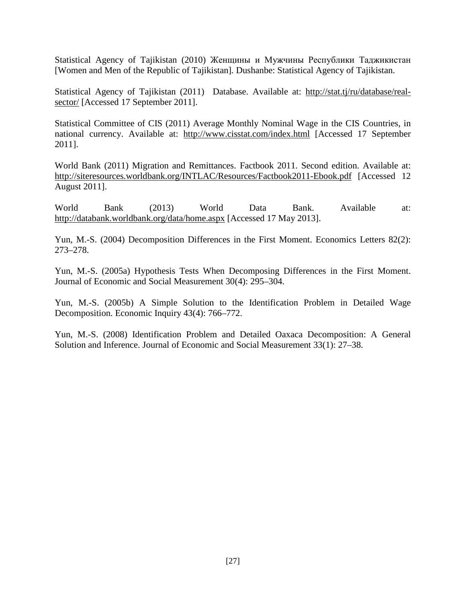Statistical Agency of Tajikistan (2010) Женщины и Мужчины Республики Таджикистан [Women and Men of the Republic of Tajikistan]*.* Dushanbe: Statistical Agency of Tajikistan.

Statistical Agency of Tajikistan (2011) Database. Available at: http://stat.tj/ru/database/realsector/ [Accessed 17 September 2011].

Statistical Committee of CIS (2011) Average Monthly Nominal Wage in the CIS Countries, in national currency. Available at: http://www.cisstat.com/index.html [Accessed 17 September 2011].

World Bank (2011) Migration and Remittances. Factbook 2011. Second edition. Available at: http://siteresources.worldbank.org/INTLAC/Resources/Factbook2011-Ebook.pdf [Accessed 12 August 2011].

World Bank (2013) World Data Bank. Available at: http://databank.worldbank.org/data/home.aspx [Accessed 17 May 2013].

Yun, M.-S. (2004) Decomposition Differences in the First Moment. Economics Letters 82(2): 273–278.

Yun, M.-S. (2005a) Hypothesis Tests When Decomposing Differences in the First Moment. Journal of Economic and Social Measurement 30(4): 295–304.

Yun, M.-S. (2005b) A Simple Solution to the Identification Problem in Detailed Wage Decomposition. Economic Inquiry 43(4): 766–772.

Yun, M.-S. (2008) Identification Problem and Detailed Oaxaca Decomposition: A General Solution and Inference. Journal of Economic and Social Measurement 33(1): 27–38.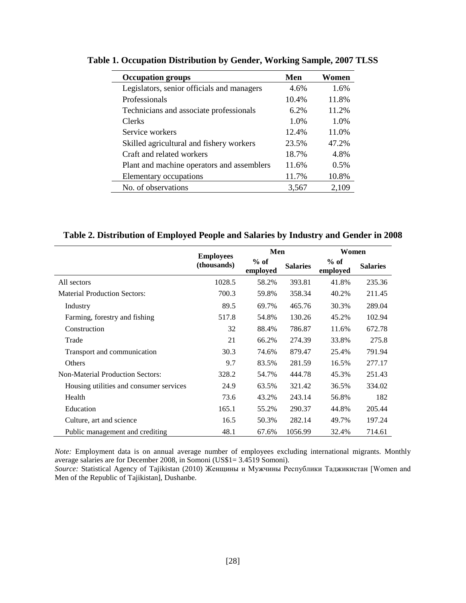| <b>Occupation groups</b>                   | Men   | Women |
|--------------------------------------------|-------|-------|
| Legislators, senior officials and managers | 4.6%  | 1.6%  |
| Professionals                              | 10.4% | 11.8% |
| Technicians and associate professionals    | 6.2%  | 11.2% |
| <b>Clerks</b>                              | 1.0%  | 1.0%  |
| Service workers                            | 12.4% | 11.0% |
| Skilled agricultural and fishery workers   | 23.5% | 47.2% |
| Craft and related workers                  | 18.7% | 4.8%  |
| Plant and machine operators and assemblers | 11.6% | 0.5%  |
| Elementary occupations                     | 11.7% | 10.8% |
| No. of observations                        | 3,567 | 2,109 |

**Table 1. Occupation Distribution by Gender, Working Sample, 2007 TLSS** 

### **Table 2. Distribution of Employed People and Salaries by Industry and Gender in 2008**

|                                         | <b>Employees</b> | Men                |                 | Women              |                 |  |
|-----------------------------------------|------------------|--------------------|-----------------|--------------------|-----------------|--|
|                                         | (thousands)      | $%$ of<br>employed | <b>Salaries</b> | $%$ of<br>employed | <b>Salaries</b> |  |
| All sectors                             | 1028.5           | 58.2%              | 393.81          | 41.8%              | 235.36          |  |
| <b>Material Production Sectors:</b>     | 700.3            | 59.8%              | 358.34          | 40.2%              | 211.45          |  |
| Industry                                | 89.5             | 69.7%              | 465.76          | 30.3%              | 289.04          |  |
| Farming, forestry and fishing           | 517.8            | 54.8%              | 130.26          | 45.2%              | 102.94          |  |
| Construction                            | 32               | 88.4%              | 786.87          | 11.6%              | 672.78          |  |
| Trade                                   | 21               | 66.2%              | 274.39          | 33.8%              | 275.8           |  |
| Transport and communication             | 30.3             | 74.6%              | 879.47          | 25.4%              | 791.94          |  |
| Others                                  | 9.7              | 83.5%              | 281.59          | 16.5%              | 277.17          |  |
| <b>Non-Material Production Sectors:</b> | 328.2            | 54.7%              | 444.78          | 45.3%              | 251.43          |  |
| Housing utilities and consumer services | 24.9             | 63.5%              | 321.42          | 36.5%              | 334.02          |  |
| Health                                  | 73.6             | 43.2%              | 243.14          | 56.8%              | 182             |  |
| Education                               | 165.1            | 55.2%              | 290.37          | 44.8%              | 205.44          |  |
| Culture, art and science                | 16.5             | 50.3%              | 282.14          | 49.7%              | 197.24          |  |
| Public management and crediting         | 48.1             | 67.6%              | 1056.99         | 32.4%              | 714.61          |  |

*Note:* Employment data is on annual average number of employees excluding international migrants. Monthly average salaries are for December 2008, in Somoni (US\$1= 3.4519 Somoni).

*Source:* Statistical Agency of Tajikistan (2010) Женщины и Мужчины Республики Таджикистан [Women and Men of the Republic of Tajikistan], Dushanbe.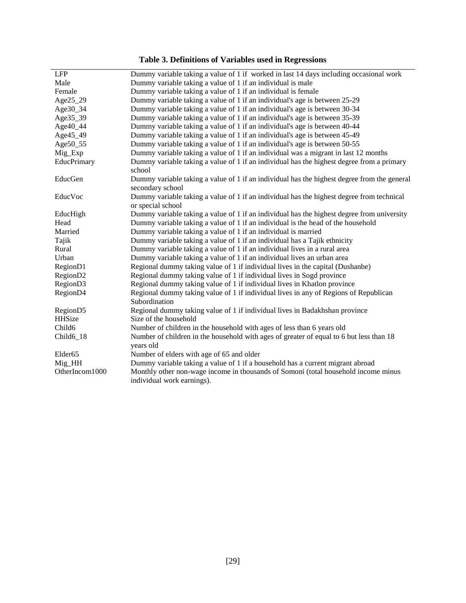| <b>Table 3. Definitions of Variables used in Regressions</b> |  |  |  |
|--------------------------------------------------------------|--|--|--|
|--------------------------------------------------------------|--|--|--|

|                       | of Deministration of The more model in The                                                                       |
|-----------------------|------------------------------------------------------------------------------------------------------------------|
| <b>LFP</b>            | Dummy variable taking a value of 1 if worked in last 14 days including occasional work                           |
| Male                  | Dummy variable taking a value of 1 if an individual is male                                                      |
| Female                | Dummy variable taking a value of 1 if an individual is female                                                    |
| Age25_29              | Dummy variable taking a value of 1 if an individual's age is between 25-29                                       |
| Age30_34              | Dummy variable taking a value of 1 if an individual's age is between 30-34                                       |
| Age35_39              | Dummy variable taking a value of 1 if an individual's age is between 35-39                                       |
| Age40_44              | Dummy variable taking a value of 1 if an individual's age is between 40-44                                       |
| Age45_49              | Dummy variable taking a value of 1 if an individual's age is between 45-49                                       |
| Age50_55              | Dummy variable taking a value of 1 if an individual's age is between 50-55                                       |
| Mig_Exp               | Dummy variable taking a value of 1 if an individual was a migrant in last 12 months                              |
| EducPrimary           | Dummy variable taking a value of 1 if an individual has the highest degree from a primary                        |
|                       | school                                                                                                           |
| EducGen               | Dummy variable taking a value of 1 if an individual has the highest degree from the general<br>secondary school  |
| EducVoc               | Dummy variable taking a value of 1 if an individual has the highest degree from technical<br>or special school   |
| EducHigh              | Dummy variable taking a value of 1 if an individual has the highest degree from university                       |
| Head                  | Dummy variable taking a value of 1 if an individual is the head of the household                                 |
| Married               | Dummy variable taking a value of 1 if an individual is married                                                   |
| Tajik                 | Dummy variable taking a value of 1 if an individual has a Tajik ethnicity                                        |
| Rural                 | Dummy variable taking a value of 1 if an individual lives in a rural area                                        |
| Urban                 | Dummy variable taking a value of 1 if an individual lives an urban area                                          |
| Region <sub>D1</sub>  | Regional dummy taking value of 1 if individual lives in the capital (Dushanbe)                                   |
| RegionD <sub>2</sub>  | Regional dummy taking value of 1 if individual lives in Sogd province                                            |
| RegionD3              | Regional dummy taking value of 1 if individual lives in Khatlon province                                         |
| RegionD4              | Regional dummy taking value of 1 if individual lives in any of Regions of Republican<br>Subordination            |
| Region <sub>D5</sub>  | Regional dummy taking value of 1 if individual lives in Badakhshan province                                      |
| <b>HHSize</b>         | Size of the household                                                                                            |
| Child <sub>6</sub>    | Number of children in the household with ages of less than 6 years old                                           |
| Child <sub>6_18</sub> | Number of children in the household with ages of greater of equal to 6 but less than 18                          |
|                       | years old                                                                                                        |
| Elder <sub>65</sub>   | Number of elders with age of 65 and older                                                                        |
| Mig_HH                | Dummy variable taking a value of 1 if a household has a current migrant abroad                                   |
| OtherIncom1000        | Monthly other non-wage income in thousands of Somoni (total household income minus<br>individual work earnings). |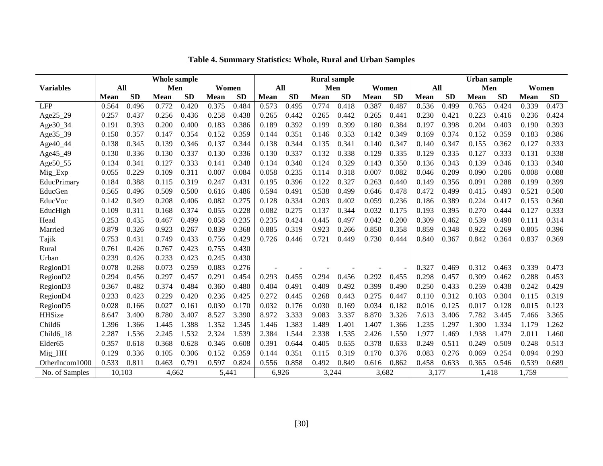|                      |             |           | Whole sample |           |             | <b>Rural sample</b> |             |           |             | <b>Urban</b> sample |             |           |             |           |             |           |             |           |
|----------------------|-------------|-----------|--------------|-----------|-------------|---------------------|-------------|-----------|-------------|---------------------|-------------|-----------|-------------|-----------|-------------|-----------|-------------|-----------|
| <b>Variables</b>     | All         |           | Men          |           | Women       |                     | All         |           | Men         |                     | Women       |           | All         |           | Men         |           | Women       |           |
|                      | <b>Mean</b> | <b>SD</b> | <b>Mean</b>  | <b>SD</b> | <b>Mean</b> | <b>SD</b>           | <b>Mean</b> | <b>SD</b> | <b>Mean</b> | <b>SD</b>           | <b>Mean</b> | <b>SD</b> | <b>Mean</b> | <b>SD</b> | <b>Mean</b> | <b>SD</b> | <b>Mean</b> | <b>SD</b> |
| <b>LFP</b>           | 0.564       | 0.496     | 0.772        | 0.420     | 0.375       | 0.484               | 0.573       | 0.495     | 0.774       | 0.418               | 0.387       | 0.487     | 0.536       | 0.499     | 0.765       | 0.424     | 0.339       | 0.473     |
| Age25_29             | 0.257       | 0.437     | 0.256        | 0.436     | 0.258       | 0.438               | 0.265       | 0.442     | 0.265       | 0.442               | 0.265       | 0.441     | 0.230       | 0.421     | 0.223       | 0.416     | 0.236       | 0.424     |
| Age30_34             | 0.191       | 0.393     | 0.200        | 0.400     | 0.183       | 0.386               | 0.189       | 0.392     | 0.199       | 0.399               | 0.180       | 0.384     | 0.197       | 0.398     | 0.204       | 0.403     | 0.190       | 0.393     |
| Age35_39             | 0.150       | 0.357     | 0.147        | 0.354     | 0.152       | 0.359               | 0.144       | 0.351     | 0.146       | 0.353               | 0.142       | 0.349     | 0.169       | 0.374     | 0.152       | 0.359     | 0.183       | 0.386     |
| Age40_44             | 0.138       | 0.345     | 0.139        | 0.346     | 0.137       | 0.344               | 0.138       | 0.344     | 0.135       | 0.341               | 0.140       | 0.347     | 0.140       | 0.347     | 0.155       | 0.362     | 0.127       | 0.333     |
| Age45_49             | 0.130       | 0.336     | 0.130        | 0.337     | 0.130       | 0.336               | 0.130       | 0.337     | 0.132       | 0.338               | 0.129       | 0.335     | 0.129       | 0.335     | 0.127       | 0.333     | 0.131       | 0.338     |
| Age50_55             | 0.134       | 0.341     | 0.127        | 0.333     | 0.141       | 0.348               | 0.134       | 0.340     | 0.124       | 0.329               | 0.143       | 0.350     | 0.136       | 0.343     | 0.139       | 0.346     | 0.133       | 0.340     |
| Mig_Exp              | 0.055       | 0.229     | 0.109        | 0.311     | 0.007       | 0.084               | 0.058       | 0.235     | 0.114       | 0.318               | 0.007       | 0.082     | 0.046       | 0.209     | 0.090       | 0.286     | 0.008       | 0.088     |
| EducPrimary          | 0.184       | 0.388     | 0.115        | 0.319     | 0.247       | 0.431               | 0.195       | 0.396     | 0.122       | 0.327               | 0.263       | 0.440     | 0.149       | 0.356     | 0.091       | 0.288     | 0.199       | 0.399     |
| EducGen              | 0.565       | 0.496     | 0.509        | 0.500     | 0.616       | 0.486               | 0.594       | 0.491     | 0.538       | 0.499               | 0.646       | 0.478     | 0.472       | 0.499     | 0.415       | 0.493     | 0.521       | 0.500     |
| EducVoc              | 0.142       | 0.349     | 0.208        | 0.406     | 0.082       | 0.275               | 0.128       | 0.334     | 0.203       | 0.402               | 0.059       | 0.236     | 0.186       | 0.389     | 0.224       | 0.417     | 0.153       | 0.360     |
| EducHigh             | 0.109       | 0.311     | 0.168        | 0.374     | 0.055       | 0.228               | 0.082       | 0.275     | 0.137       | 0.344               | 0.032       | 0.175     | 0.193       | 0.395     | 0.270       | 0.444     | 0.127       | 0.333     |
| Head                 | 0.253       | 0.435     | 0.467        | 0.499     | 0.058       | 0.235               | 0.235       | 0.424     | 0.445       | 0.497               | 0.042       | 0.200     | 0.309       | 0.462     | 0.539       | 0.498     | 0.111       | 0.314     |
| Married              | 0.879       | 0.326     | 0.923        | 0.267     | 0.839       | 0.368               | 0.885       | 0.319     | 0.923       | 0.266               | 0.850       | 0.358     | 0.859       | 0.348     | 0.922       | 0.269     | 0.805       | 0.396     |
| Tajik                | 0.753       | 0.431     | 0.749        | 0.433     | 0.756       | 0.429               | 0.726       | 0.446     | 0.721       | 0.449               | 0.730       | 0.444     | 0.840       | 0.367     | 0.842       | 0.364     | 0.837       | 0.369     |
| Rural                | 0.761       | 0.426     | 0.767        | 0.423     | 0.755       | 0.430               |             |           |             |                     |             |           |             |           |             |           |             |           |
| Urban                | 0.239       | 0.426     | 0.233        | 0.423     | 0.245       | 0.430               |             |           |             |                     |             |           |             |           |             |           |             |           |
| RegionD1             | 0.078       | 0.268     | 0.073        | 0.259     | 0.083       | 0.276               |             |           |             |                     |             |           | 0.327       | 0.469     | 0.312       | 0.463     | 0.339       | 0.473     |
| Region <sub>D2</sub> | 0.294       | 0.456     | 0.297        | 0.457     | 0.291       | 0.454               | 0.293       | 0.455     | 0.294       | 0.456               | 0.292       | 0.455     | 0.298       | 0.457     | 0.309       | 0.462     | 0.288       | 0.453     |
| Region <sub>D3</sub> | 0.367       | 0.482     | 0.374        | 0.484     | 0.360       | 0.480               | 0.404       | 0.491     | 0.409       | 0.492               | 0.399       | 0.490     | 0.250       | 0.433     | 0.259       | 0.438     | 0.242       | 0.429     |
| RegionD4             | 0.233       | 0.423     | 0.229        | 0.420     | 0.236       | 0.425               | 0.272       | 0.445     | 0.268       | 0.443               | 0.275       | 0.447     | 0.110       | 0.312     | 0.103       | 0.304     | 0.115       | 0.319     |
| Region <sub>D5</sub> | 0.028       | 0.166     | 0.027        | 0.161     | 0.030       | 0.170               | 0.032       | 0.176     | 0.030       | 0.169               | 0.034       | 0.182     | 0.016       | 0.125     | 0.017       | 0.128     | 0.015       | 0.123     |
| <b>HHSize</b>        | 8.647       | 3.400     | 8.780        | 3.407     | 8.527       | 3.390               | 8.972       | 3.333     | 9.083       | 3.337               | 8.870       | 3.326     | 7.613       | 3.406     | 7.782       | 3.445     | 7.466       | 3.365     |
| Child <sub>6</sub>   | 1.396       | 1.366     | 1.445        | 1.388     | 1.352       | 1.345               | 1.446       | 1.383     | 1.489       | 1.401               | 1.407       | 1.366     | 1.235       | 1.297     | 1.300       | 1.334     | 1.179       | 1.262     |
| Child6 18            | 2.287       | 1.536     | 2.245        | 1.532     | 2.324       | 1.539               | 2.384       | 1.544     | 2.338       | 1.535               | 2.426       | 1.550     | 1.977       | 1.469     | 1.938       | 1.479     | 2.011       | 1.460     |
| Elder <sub>65</sub>  | 0.357       | 0.618     | 0.368        | 0.628     | 0.346       | 0.608               | 0.391       | 0.644     | 0.405       | 0.655               | 0.378       | 0.633     | 0.249       | 0.511     | 0.249       | 0.509     | 0.248       | 0.513     |
| Mig_HH               | 0.129       | 0.336     | 0.105        | 0.306     | 0.152       | 0.359               | 0.144       | 0.351     | 0.115       | 0.319               | 0.170       | 0.376     | 0.083       | 0.276     | 0.069       | 0.254     | 0.094       | 0.293     |
| OtherIncom1000       | 0.533       | 0.811     | 0.463        | 0.791     | 0.597       | 0.824               | 0.556       | 0.858     | 0.492       | 0.849               | 0.616       | 0.862     | 0.458       | 0.633     | 0.365       | 0.546     | 0.539       | 0.689     |
| No. of Samples       | 10.103      |           | 4.662        |           | 5,441       |                     | 6,926       |           | 3,244       |                     | 3,682       |           | 3,177       |           | 1,418       |           | 1,759       |           |

**Table 4. Summary Statistics: Whole, Rural and Urban Samples**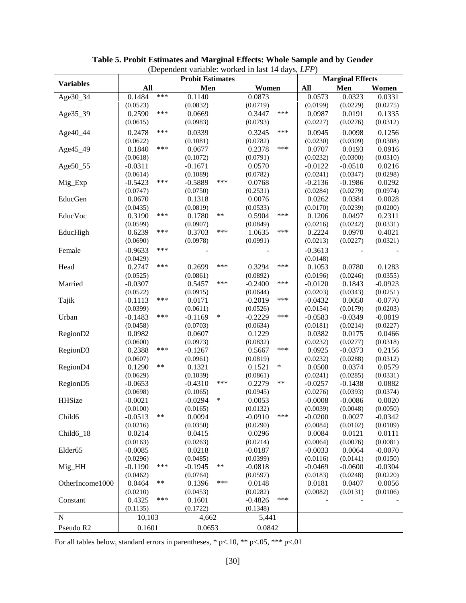|                      | (1)<br><b>Probit Estimates</b> |       |                       |        |                    |        | <b>Marginal Effects</b> |                       |                    |  |
|----------------------|--------------------------------|-------|-----------------------|--------|--------------------|--------|-------------------------|-----------------------|--------------------|--|
| <b>Variables</b>     | All                            |       | Men                   |        | Women              |        | All                     | Men                   | Women              |  |
| Age30_34             | 0.1484                         | ***   | 0.1140                |        | 0.0873             |        | 0.0573                  | 0.0323                | 0.0331             |  |
|                      | (0.0523)                       |       | (0.0832)              |        | (0.0719)           |        | (0.0199)                | (0.0229)              | (0.0275)           |  |
| Age35_39             | 0.2590                         | ***   | 0.0669                |        | 0.3447             | ***    | 0.0987                  | 0.0191                | 0.1335             |  |
|                      | (0.0615)                       |       | (0.0983)              |        | (0.0793)           |        | (0.0227)                | (0.0276)              | (0.0312)           |  |
|                      |                                | ***   |                       |        |                    | ***    |                         |                       |                    |  |
| Age40_44             | 0.2478                         |       | 0.0339                |        | 0.3245             |        | 0.0945                  | 0.0098                | 0.1256             |  |
|                      | (0.0622)                       | ***   | (0.1081)              |        | (0.0782)           | ***    | (0.0230)                | (0.0309)              | (0.0308)           |  |
| Age45_49             | 0.1840                         |       | 0.0677                |        | 0.2378             |        | 0.0707                  | 0.0193                | 0.0916             |  |
|                      | (0.0618)                       |       | (0.1072)              |        | (0.0791)           |        | (0.0232)                | (0.0300)              | (0.0310)           |  |
| Age50_55             | $-0.0311$                      |       | $-0.1671$<br>(0.1089) |        | 0.0570             |        | $-0.0122$               | $-0.0510$             | 0.0216             |  |
|                      | (0.0614)<br>$-0.5423$          | ***   | $-0.5889$             | ***    | (0.0782)<br>0.0768 |        | (0.0241)<br>$-0.2136$   | (0.0347)<br>$-0.1986$ | (0.0298)<br>0.0292 |  |
| Mig_Exp              |                                |       |                       |        |                    |        |                         |                       |                    |  |
|                      | (0.0747)                       |       | (0.0750)              |        | (0.2531)           |        | (0.0284)                | (0.0279)              | (0.0974)           |  |
| EducGen              | 0.0670<br>(0.0435)             |       | 0.1318<br>(0.0819)    |        | 0.0076<br>(0.0533) |        | 0.0262<br>(0.0170)      | 0.0384<br>(0.0239)    | 0.0028<br>(0.0200) |  |
| EducVoc              | 0.3190                         | ***   | 0.1780                | $***$  | 0.5904             | ***    | 0.1206                  | 0.0497                | 0.2311             |  |
|                      | (0.0599)                       |       | (0.0907)              |        | (0.0849)           |        | (0.0216)                | (0.0242)              | (0.0331)           |  |
| EducHigh             | 0.6239                         | ***   | 0.3703                | ***    | 1.0635             | ***    | 0.2224                  | 0.0970                | 0.4021             |  |
|                      | (0.0690)                       |       | (0.0978)              |        | (0.0991)           |        | (0.0213)                | (0.0227)              | (0.0321)           |  |
|                      |                                | ***   |                       |        |                    |        |                         |                       |                    |  |
| Female               | $-0.9633$                      |       |                       |        |                    |        | $-0.3613$               |                       |                    |  |
|                      | (0.0429)                       | ***   |                       | ***    |                    | ***    | (0.0148)                |                       |                    |  |
| Head                 | 0.2747                         |       | 0.2699                |        | 0.3294             |        | 0.1053                  | 0.0780                | 0.1283             |  |
|                      | (0.0525)                       |       | (0.0861)              | ***    | (0.0892)           | ***    | (0.0196)                | (0.0246)              | (0.0355)           |  |
| Married              | $-0.0307$                      |       | 0.5457                |        | $-0.2400$          |        | $-0.0120$               | 0.1843                | $-0.0923$          |  |
|                      | (0.0522)                       | ***   | (0.0915)              |        | (0.0644)           | ***    | (0.0203)                | (0.0343)              | (0.0251)           |  |
| Tajik                | $-0.1113$                      |       | 0.0171                |        | $-0.2019$          |        | $-0.0432$               | 0.0050                | $-0.0770$          |  |
|                      | (0.0399)                       | ***   | (0.0611)              |        | (0.0526)           | ***    | (0.0154)                | (0.0179)              | (0.0203)           |  |
| Urban                | $-0.1483$                      |       | $-0.1169$             | $\ast$ | $-0.2229$          |        | $-0.0583$               | $-0.0349$             | $-0.0819$          |  |
|                      | (0.0458)                       |       | (0.0703)              |        | (0.0634)           |        | (0.0181)                | (0.0214)              | (0.0227)           |  |
| RegionD2             | 0.0982                         |       | 0.0607                |        | 0.1229             |        | 0.0382                  | 0.0175                | 0.0466             |  |
|                      | (0.0600)                       | ***   | (0.0973)              |        | (0.0832)           | ***    | (0.0232)                | (0.0277)              | (0.0318)           |  |
| RegionD3             | 0.2388                         |       | $-0.1267$             |        | 0.5667             |        | 0.0925                  | $-0.0373$             | 0.2156             |  |
|                      | (0.0607)<br>0.1290             | **    | (0.0961)<br>0.1321    |        | (0.0819)           | $\ast$ | (0.0232)<br>0.0500      | (0.0288)<br>0.0374    | (0.0312)<br>0.0579 |  |
| RegionD4             |                                |       |                       |        | 0.1521             |        | (0.0241)                |                       |                    |  |
|                      | (0.0629)                       |       | (0.1039)<br>$-0.4310$ | ***    | (0.0861)           | **     |                         | (0.0285)              | (0.0331)           |  |
| Region <sub>D5</sub> | $-0.0653$                      |       |                       |        | 0.2279             |        | $-0.0257$               | $-0.1438$             | 0.0882             |  |
| HHSize               | (0.0698)                       |       | (0.1065)              | $\ast$ | (0.0945)           |        | (0.0276)                | (0.0393)              | (0.0374)           |  |
|                      | $-0.0021$<br>(0.0100)          |       | $-0.0294$<br>(0.0165) |        | 0.0053<br>(0.0132) |        | $-0.0008$<br>(0.0039)   | $-0.0086$<br>(0.0048) | 0.0020<br>(0.0050) |  |
| Child <sub>6</sub>   | $-0.0513$                      | $***$ | 0.0094                |        | $-0.0910$          | ***    | $-0.0200$               | 0.0027                | $-0.0342$          |  |
|                      | (0.0216)                       |       | (0.0350)              |        | (0.0290)           |        | (0.0084)                | (0.0102)              | (0.0109)           |  |
| Child6_18            | 0.0214                         |       | 0.0415                |        | 0.0296             |        | 0.0084                  | 0.0121                | 0.0111             |  |
|                      | (0.0163)                       |       | (0.0263)              |        | (0.0214)           |        | (0.0064)                | (0.0076)              | (0.0081)           |  |
| Elder65              | $-0.0085$                      |       | 0.0218                |        | $-0.0187$          |        | $-0.0033$               | 0.0064                | $-0.0070$          |  |
|                      | (0.0296)                       |       | (0.0485)              |        | (0.0399)           |        | (0.0116)                | (0.0141)              | (0.0150)           |  |
| Mig_HH               | $-0.1190$                      | ***   | $-0.1945$             | $***$  | $-0.0818$          |        | $-0.0469$               | $-0.0600$             | $-0.0304$          |  |
|                      | (0.0462)                       |       | (0.0764)              |        | (0.0597)           |        | (0.0183)                | (0.0248)              | (0.0220)           |  |
| OtherIncome1000      | 0.0464                         | **    | 0.1396                | ***    | 0.0148             |        | 0.0181                  | 0.0407                | 0.0056             |  |
|                      | (0.0210)                       |       | (0.0453)              |        | (0.0282)           |        | (0.0082)                | (0.0131)              | (0.0106)           |  |
| Constant             | 0.4325                         | ***   | 0.1601                |        | $-0.4826$          | ***    |                         |                       |                    |  |
|                      | (0.1135)                       |       | (0.1722)              |        | (0.1348)           |        |                         |                       |                    |  |
| $\mathbf N$          | 10,103                         |       | 4,662                 |        | 5,441              |        |                         |                       |                    |  |
|                      |                                |       |                       |        |                    |        |                         |                       |                    |  |
| Pseudo R2            | 0.1601                         |       | 0.0653                |        | 0.0842             |        |                         |                       |                    |  |

#### **Table 5. Probit Estimates and Marginal Effects: Whole Sample and by Gender** (Dependent variable: worked in last 14 days, *LFP*)

For all tables below, standard errors in parentheses,  $* p<.10$ ,  $** p<.05$ ,  $*** p<.01$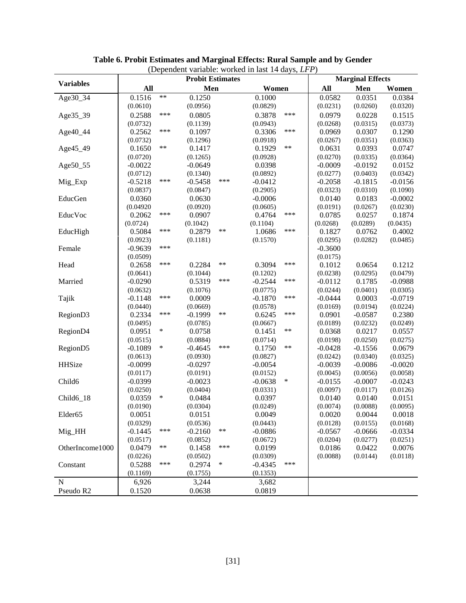| (Dependent variable: worked in last 14 days, LFP) |                       |            |                         |        |                       |        |                       |                         |           |
|---------------------------------------------------|-----------------------|------------|-------------------------|--------|-----------------------|--------|-----------------------|-------------------------|-----------|
| <b>Variables</b>                                  |                       |            | <b>Probit Estimates</b> |        |                       |        |                       | <b>Marginal Effects</b> |           |
|                                                   | All                   |            | Men                     |        | Women                 |        | All                   | Men                     | Women     |
| Age30_34                                          | 0.1516                | $***$      | 0.1250                  |        | 0.1000                |        | 0.0582                | 0.0351                  | 0.0384    |
|                                                   | (0.0610)              |            | (0.0956)                |        | (0.0829)              |        | (0.0231)              | (0.0260)                | (0.0320)  |
| Age35_39                                          | 0.2588                | ***        | 0.0805                  |        | 0.3878                | ***    | 0.0979                | 0.0228                  | 0.1515    |
|                                                   | (0.0732)              |            | (0.1139)                |        | (0.0943)              |        | (0.0268)              | (0.0315)                | (0.0373)  |
| Age40_44                                          | 0.2562                | ***        | 0.1097                  |        | 0.3306                | ***    | 0.0969                | 0.0307                  | 0.1290    |
|                                                   | (0.0732)              |            | (0.1296)                |        | (0.0918)              |        | (0.0267)              | (0.0351)                | (0.0363)  |
| Age45_49                                          | 0.1650                | $\ast\ast$ | 0.1417                  |        | 0.1929                | $***$  | 0.0631                | 0.0393                  | 0.0747    |
|                                                   | (0.0720)              |            | (0.1265)                |        | (0.0928)              |        | (0.0270)              | (0.0335)                | (0.0364)  |
| Age50_55                                          | $-0.0022$             |            | $-0.0649$               |        | 0.0398                |        | $-0.0009$             | $-0.0192$               | 0.0152    |
|                                                   | (0.0712)              |            | (0.1340)                |        | (0.0892)              |        | (0.0277)              | (0.0403)                | (0.0342)  |
| Mig_Exp                                           | $-0.5218$             | ***        | $-0.5458$               | ***    | $-0.0412$             |        | $-0.2058$             | $-0.1815$               | $-0.0156$ |
|                                                   | (0.0837)              |            | (0.0847)                |        | (0.2905)              |        | (0.0323)              | (0.0310)                | (0.1090)  |
| EducGen                                           | 0.0360                |            | 0.0630                  |        | $-0.0006$             |        | 0.0140                | 0.0183                  | $-0.0002$ |
|                                                   | (0.04920)             |            | (0.0920)                |        | (0.0605)              |        | (0.0191)              | (0.0267)                | (0.0230)  |
| EducVoc                                           | 0.2062                | ***        | 0.0907                  |        | 0.4764                | ***    | 0.0785                | 0.0257                  | 0.1874    |
|                                                   | (0.0724)              |            | (0.1042)                |        | (0.1104)              |        | (0.0268)              | (0.0289)                | (0.0435)  |
| EducHigh                                          | 0.5084                | ***        | 0.2879                  | $***$  | 1.0686                | ***    | 0.1827                | 0.0762                  | 0.4002    |
|                                                   | (0.0923)              |            | (0.1181)                |        | (0.1570)              |        | (0.0295)              | (0.0282)                | (0.0485)  |
| Female                                            | $-0.9639$             | ***        |                         |        |                       |        | $-0.3600$             |                         |           |
|                                                   | (0.0509)              |            |                         |        |                       |        | (0.0175)              |                         |           |
| Head                                              | 0.2658                | ***        | 0.2284                  | $***$  | 0.3094                | ***    | 0.1012                | 0.0654                  | 0.1212    |
|                                                   | (0.0641)              |            | (0.1044)                |        | (0.1202)              |        | (0.0238)              | (0.0295)                | (0.0479)  |
| Married                                           | $-0.0290$             |            | 0.5319                  | ***    | $-0.2544$             | ***    | $-0.0112$             | 0.1785                  | $-0.0988$ |
|                                                   | (0.0632)              |            | (0.1076)                |        | (0.0775)              |        | (0.0244)              | (0.0401)                | (0.0305)  |
| Tajik                                             | $-0.1148$             | ***        | 0.0009                  |        | $-0.1870$             | ***    | $-0.0444$             | 0.0003                  | $-0.0719$ |
|                                                   | (0.0440)              |            | (0.0669)                |        | (0.0578)              |        | (0.0169)              | (0.0194)                | (0.0224)  |
| RegionD3                                          | 0.2334                | ***        | $-0.1999$               | $***$  | 0.6245                | ***    | 0.0901                | $-0.0587$               | 0.2380    |
|                                                   | (0.0495)              |            | (0.0785)                |        | (0.0667)              |        | (0.0189)              | (0.0232)                | (0.0249)  |
| RegionD4                                          | 0.0951                | $\ast$     | 0.0758                  |        | 0.1451                | $***$  | 0.0368                | 0.0217                  | 0.0557    |
|                                                   | (0.0515)              |            | (0.0884)                |        | (0.0714)              |        | (0.0198)              | (0.0250)                | (0.0275)  |
| Region <sub>D5</sub>                              | $-0.1089$             | $\ast$     | $-0.4645$               | ***    | 0.1750                | $***$  | $-0.0428$             | $-0.1556$               | 0.0679    |
|                                                   |                       |            |                         |        |                       |        |                       |                         | (0.0325)  |
| HHSize                                            | (0.0613)<br>$-0.0099$ |            | (0.0930)<br>$-0.0297$   |        | (0.0827)<br>$-0.0054$ |        | (0.0242)              | (0.0340)                | $-0.0020$ |
|                                                   | (0.0117)              |            | (0.0191)                |        |                       |        | $-0.0039$<br>(0.0045) | $-0.0086$<br>(0.0056)   | (0.0058)  |
| Child <sub>6</sub>                                | $-0.0399$             |            | $-0.0023$               |        | (0.0152)<br>$-0.0638$ | $\ast$ | $-0.0155$             | $-0.0007$               | $-0.0243$ |
|                                                   | (0.0250)              |            | (0.0404)                |        | (0.0331)              |        | (0.0097)              | (0.0117)                | (0.0126)  |
| Child6_18                                         | 0.0359                | $\ast$     | 0.0484                  |        | 0.0397                |        | 0.0140                | 0.0140                  | 0.0151    |
|                                                   |                       |            |                         |        |                       |        |                       |                         |           |
|                                                   | (0.0190)              |            | (0.0304)                |        | (0.0249)              |        | (0.0074)              | (0.0088)                | (0.0095)  |
| Elder <sub>65</sub>                               | 0.0051                |            | 0.0151                  |        | 0.0049                |        | 0.0020                | 0.0044                  | 0.0018    |
|                                                   | (0.0329)              | ***        | (0.0536)                | $***$  | (0.0443)              |        | (0.0128)              | (0.0155)                | (0.0168)  |
| Mig_HH                                            | $-0.1445$             |            | $-0.2160$               |        | $-0.0886$             |        | $-0.0567$             | $-0.0666$               | $-0.0334$ |
|                                                   | (0.0517)              | **         | (0.0852)                | ***    | (0.0672)              |        | (0.0204)              | (0.0277)                | (0.0251)  |
| OtherIncome1000                                   | 0.0479                |            | 0.1458                  |        | 0.0199                |        | 0.0186                | 0.0422                  | 0.0076    |
|                                                   | (0.0226)              | ***        | (0.0502)                | $\ast$ | (0.0309)              | ***    | (0.0088)              | (0.0144)                | (0.0118)  |
| Constant                                          | 0.5288                |            | 0.2974                  |        | $-0.4345$             |        |                       |                         |           |
|                                                   | (0.1169)              |            | (0.1755)                |        | (0.1353)              |        |                       |                         |           |
| $\mathbf N$                                       | 6,926                 |            | 3,244                   |        | 3,682                 |        |                       |                         |           |
| Pseudo R2                                         | 0.1520                |            | 0.0638                  |        | 0.0819                |        |                       |                         |           |

### **Table 6. Probit Estimates and Marginal Effects: Rural Sample and by Gender**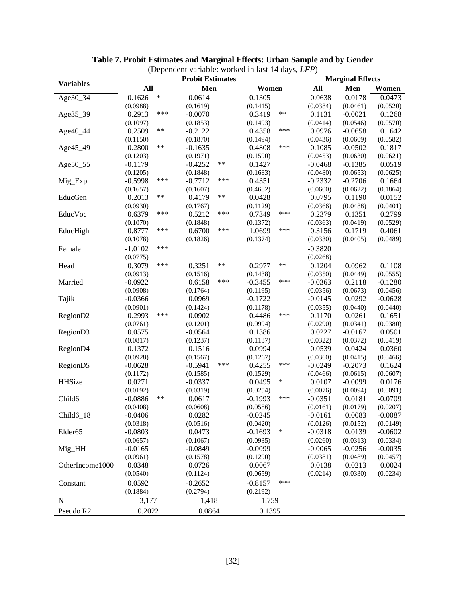|                      |                    | (1)<br><b>Probit Estimates</b> | <b>Marginal Effects</b> |           |           |           |
|----------------------|--------------------|--------------------------------|-------------------------|-----------|-----------|-----------|
| <b>Variables</b>     | All                | Men                            | Women                   | All       | Men       | Women     |
| Age30_34             | $\ast$<br>0.1626   | 0.0614                         | 0.1305                  | 0.0638    | 0.0178    | 0.0473    |
|                      | (0.0988)           | (0.1619)                       | (0.1415)                | (0.0384)  | (0.0461)  | (0.0520)  |
| Age35_39             | ***<br>0.2913      | $-0.0070$                      | $***$<br>0.3419         | 0.1131    | $-0.0021$ | 0.1268    |
|                      | (0.1097)           | (0.1853)                       | (0.1493)                | (0.0414)  | (0.0546)  | (0.0570)  |
| Age40_44             | $***$<br>0.2509    | $-0.2122$                      | ***<br>0.4358           | 0.0976    | $-0.0658$ | 0.1642    |
|                      | (0.1150)           | (0.1870)                       | (0.1494)                | (0.0436)  | (0.0609)  | (0.0582)  |
| Age45_49             | $***$<br>0.2800    | $-0.1635$                      | ***<br>0.4808           | 0.1085    | $-0.0502$ | 0.1817    |
|                      | (0.1203)           | (0.1971)                       | (0.1590)                | (0.0453)  | (0.0630)  | (0.0621)  |
| Age50_55             | $-0.1179$          | **<br>$-0.4252$                | 0.1427                  | $-0.0468$ | $-0.1385$ | 0.0519    |
|                      | (0.1205)           | (0.1848)                       | (0.1683)                | (0.0480)  | (0.0653)  | (0.0625)  |
| Mig_Exp              | ***<br>$-0.5998$   | ***<br>$-0.7712$               | 0.4351                  | $-0.2332$ | $-0.2706$ | 0.1664    |
|                      | (0.1657)           | (0.1607)                       | (0.4682)                | (0.0600)  | (0.0622)  | (0.1864)  |
| EducGen              | **<br>0.2013       | **<br>0.4179                   | 0.0428                  | 0.0795    | 0.1190    | 0.0152    |
|                      | (0.0930)           | (0.1767)                       | (0.1129)                | (0.0366)  | (0.0488)  | (0.0401)  |
| EducVoc              | ***<br>0.6379      | ***<br>0.5212                  | ***<br>0.7349           | 0.2379    | 0.1351    | 0.2799    |
|                      | (0.1070)           | (0.1848)                       | (0.1372)                | (0.0363)  | (0.0419)  | (0.0529)  |
| EducHigh             | ***<br>0.8777      | ***<br>0.6700                  | ***<br>1.0699           | 0.3156    | 0.1719    | 0.4061    |
|                      | (0.1078)           | (0.1826)                       | (0.1374)                | (0.0330)  | (0.0405)  | (0.0489)  |
| Female               | ***<br>$-1.0102$   |                                |                         | $-0.3820$ |           |           |
|                      | (0.0775)           |                                |                         | (0.0268)  |           |           |
| Head                 | ***<br>0.3079      | **<br>0.3251                   | $***$<br>0.2977         | 0.1204    | 0.0962    | 0.1108    |
|                      | (0.0913)           | (0.1516)                       | (0.1438)                | (0.0350)  | (0.0449)  | (0.0555)  |
| Married              | $-0.0922$          | ***<br>0.6158                  | ***<br>$-0.3455$        | $-0.0363$ | 0.2118    | $-0.1280$ |
|                      | (0.0908)           | (0.1764)                       | (0.1195)                | (0.0356)  | (0.0673)  | (0.0456)  |
| Tajik                | $-0.0366$          | 0.0969                         | $-0.1722$               | $-0.0145$ | 0.0292    | $-0.0628$ |
|                      | (0.0901)           | (0.1424)                       | (0.1178)                | (0.0355)  | (0.0440)  | (0.0440)  |
| RegionD2             | ***<br>0.2993      | 0.0902                         | ***<br>0.4486           | 0.1170    | 0.0261    | 0.1651    |
|                      | (0.0761)           | (0.1201)                       | (0.0994)                | (0.0290)  | (0.0341)  | (0.0380)  |
| Region <sub>D3</sub> | 0.0575             | $-0.0564$                      | 0.1386                  | 0.0227    | $-0.0167$ | 0.0501    |
|                      | (0.0817)           | (0.1237)                       | (0.1137)                | (0.0322)  | (0.0372)  | (0.0419)  |
| RegionD4             | 0.1372             | 0.1516                         | 0.0994                  | 0.0539    | 0.0424    | 0.0360    |
|                      | (0.0928)           | (0.1567)                       | (0.1267)                | (0.0360)  | (0.0415)  | (0.0466)  |
| Region <sub>D5</sub> | $-0.0628$          | $-0.5941$<br>***               | ***<br>0.4255           | $-0.0249$ | $-0.2073$ | 0.1624    |
|                      | (0.1172)           | (0.1585)                       | (0.1529)                | (0.0466)  | (0.0615)  | (0.0607)  |
| HHSize               | 0.0271             | $-0.0337$                      | $\ast$<br>0.0495        | 0.0107    | $-0.0099$ | 0.0176    |
|                      | (0.0192)           | (0.0319)                       | (0.0254)                | (0.0076)  | (0.0094)  | (0.0091)  |
| Child <sub>6</sub>   | $***$<br>$-0.0886$ | 0.0617                         | ***<br>$-0.1993$        | $-0.0351$ | 0.0181    | $-0.0709$ |
|                      | (0.0408)           | (0.0608)                       | (0.0586)                | (0.0161)  | (0.0179)  | (0.0207)  |
| $Child6_18$          | $-0.0406$          | 0.0282                         | $-0.0245$               | $-0.0161$ | 0.0083    | $-0.0087$ |
|                      | (0.0318)           | (0.0516)                       | (0.0420)                | (0.0126)  | (0.0152)  | (0.0149)  |
| Elder <sub>65</sub>  | $-0.0803$          | 0.0473                         | $-0.1693$<br>$\ast$     | $-0.0318$ | 0.0139    | $-0.0602$ |
|                      | (0.0657)           | (0.1067)                       | (0.0935)                | (0.0260)  | (0.0313)  | (0.0334)  |
| Mig_HH               | $-0.0165$          | $-0.0849$                      | $-0.0099$               | $-0.0065$ | $-0.0256$ | $-0.0035$ |
|                      | (0.0961)           | (0.1578)                       | (0.1290)                | (0.0381)  | (0.0489)  | (0.0457)  |
| OtherIncome1000      | 0.0348             | 0.0726                         | 0.0067                  | 0.0138    | 0.0213    | 0.0024    |
|                      | (0.0540)           | (0.1124)                       | (0.0659)                | (0.0214)  | (0.0330)  | (0.0234)  |
| Constant             | 0.0592             | $-0.2652$                      | ***<br>$-0.8157$        |           |           |           |
|                      | (0.1884)           | (0.2794)                       | (0.2192)                |           |           |           |
| $\mathbf N$          | 3,177              | 1,418                          | 1,759                   |           |           |           |
| Pseudo R2            | 0.2022             | 0.0864                         | 0.1395                  |           |           |           |
|                      |                    |                                |                         |           |           |           |

**Table 7. Probit Estimates and Marginal Effects: Urban Sample and by Gender** (Dependent variable: worked in last 14 days, *LFP*)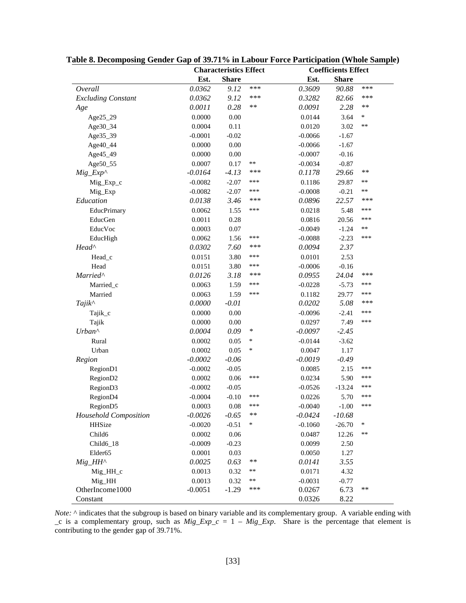|                           |           | <b>Characteristics Effect</b> |        | <b>Coefficients Effect</b> |              |        |  |
|---------------------------|-----------|-------------------------------|--------|----------------------------|--------------|--------|--|
|                           | Est.      | <b>Share</b>                  |        | Est.                       | <b>Share</b> |        |  |
| Overall                   | 0.0362    | 9.12                          | ***    | 0.3609                     | 90.88        | ***    |  |
| <b>Excluding Constant</b> | 0.0362    | 9.12                          | ***    | 0.3282                     | 82.66        | ***    |  |
| Age                       | 0.0011    | 0.28                          | $***$  | 0.0091                     | 2.28         | $***$  |  |
| Age25_29                  | 0.0000    | 0.00                          |        | 0.0144                     | 3.64         | $\ast$ |  |
| Age30_34                  | 0.0004    | 0.11                          |        | 0.0120                     | 3.02         | $***$  |  |
| Age35_39                  | $-0.0001$ | $-0.02$                       |        | $-0.0066$                  | $-1.67$      |        |  |
| Age40_44                  | 0.0000    | 0.00                          |        | $-0.0066$                  | $-1.67$      |        |  |
| Age45_49                  | 0.0000    | 0.00                          |        | $-0.0007$                  | $-0.16$      |        |  |
| Age50_55                  | 0.0007    | 0.17                          | $**$   | $-0.0034$                  | $-0.87$      |        |  |
| $Mig\_Exp^{\wedge}$       | $-0.0164$ | $-4.13$                       | ***    | 0.1178                     | 29.66        | $***$  |  |
| Mig_Exp_c                 | $-0.0082$ | $-2.07$                       | ***    | 0.1186                     | 29.87        | $***$  |  |
| Mig_Exp                   | $-0.0082$ | $-2.07$                       | ***    | $-0.0008$                  | $-0.21$      | $**$   |  |
| Education                 | 0.0138    | 3.46                          | ***    | 0.0896                     | 22.57        | ***    |  |
| EducPrimary               | 0.0062    | 1.55                          | ***    | 0.0218                     | 5.48         | ***    |  |
| EducGen                   | 0.0011    | 0.28                          |        | 0.0816                     | 20.56        | ***    |  |
| EducVoc                   | 0.0003    | 0.07                          |        | $-0.0049$                  | $-1.24$      | $***$  |  |
| EducHigh                  | 0.0062    | 1.56                          | ***    | $-0.0088$                  | $-2.23$      | ***    |  |
| Head <sup>^</sup>         | 0.0302    | 7.60                          | ***    | 0.0094                     | 2.37         |        |  |
| Head_c                    | 0.0151    | 3.80                          | ***    | 0.0101                     | 2.53         |        |  |
| Head                      | 0.0151    | 3.80                          | ***    | $-0.0006$                  | $-0.16$      |        |  |
| Married^                  | 0.0126    | 3.18                          | ***    | 0.0955                     | 24.04        | ***    |  |
| Married_c                 | 0.0063    | 1.59                          | ***    | $-0.0228$                  | $-5.73$      | ***    |  |
| Married                   | 0.0063    | 1.59                          | ***    | 0.1182                     | 29.77        | ***    |  |
| Tajik^                    | 0.0000    | $-0.01$                       |        | 0.0202                     | 5.08         | ***    |  |
| Tajik_c                   | 0.0000    | 0.00                          |        | $-0.0096$                  | $-2.41$      | ***    |  |
| Tajik                     | 0.0000    | 0.00                          |        | 0.0297                     | 7.49         | ***    |  |
| Urban^                    | 0.0004    | 0.09                          | $\ast$ | $-0.0097$                  | $-2.45$      |        |  |
| Rural                     | 0.0002    | 0.05                          | $\ast$ | $-0.0144$                  | $-3.62$      |        |  |
| Urban                     | 0.0002    | 0.05                          | $\ast$ | 0.0047                     | 1.17         |        |  |
| Region                    | $-0.0002$ | $-0.06$                       |        | $-0.0019$                  | $-0.49$      |        |  |
| Region <sub>D1</sub>      | $-0.0002$ | $-0.05$                       |        | 0.0085                     | 2.15         | ***    |  |
| RegionD2                  | 0.0002    | 0.06                          | ***    | 0.0234                     | 5.90         | ***    |  |
| RegionD3                  | $-0.0002$ | $-0.05$                       |        | $-0.0526$                  | $-13.24$     | ***    |  |
| RegionD4                  | $-0.0004$ | $-0.10$                       | ***    | 0.0226                     | 5.70         | ***    |  |
| RegionD5                  | 0.0003    | $0.08\,$                      | ***    | $-0.0040$                  | $-1.00$      | ***    |  |
| Household Composition     | $-0.0026$ | $-0.65$                       | $***$  | $-0.0424$                  | $-10.68$     |        |  |
| HHSize                    | $-0.0020$ | $-0.51$                       | $\ast$ | $-0.1060$                  | $-26.70$     | $\ast$ |  |
| Child <sub>6</sub>        | 0.0002    | 0.06                          |        | 0.0487                     | 12.26        | $***$  |  |
| Child <sub>6_18</sub>     | $-0.0009$ | $-0.23$                       |        | 0.0099                     | 2.50         |        |  |
| Elder <sub>65</sub>       | 0.0001    | 0.03                          |        | 0.0050                     | 1.27         |        |  |
| $Mig\_HH^{\wedge}$        | 0.0025    | 0.63                          | $***$  | 0.0141                     | 3.55         |        |  |
| $Mig_HH_c$                | 0.0013    | 0.32                          | $**$   | 0.0171                     | 4.32         |        |  |
| Mig_HH                    | 0.0013    | 0.32                          | **     | $-0.0031$                  | $-0.77$      |        |  |
| OtherIncome1000           | $-0.0051$ | $-1.29$                       | ***    | 0.0267                     | 6.73         | **     |  |
| Constant                  |           |                               |        | 0.0326                     | 8.22         |        |  |

**Table 8. Decomposing Gender Gap of 39.71% in Labour Force Participation (Whole Sample)**

*Note:* ^ indicates that the subgroup is based on binary variable and its complementary group. A variable ending with \_c is a complementary group, such as *Mig\_Exp\_c* = 1 – *Mig\_Exp*. Share is the percentage that element is contributing to the gender gap of 39.71%.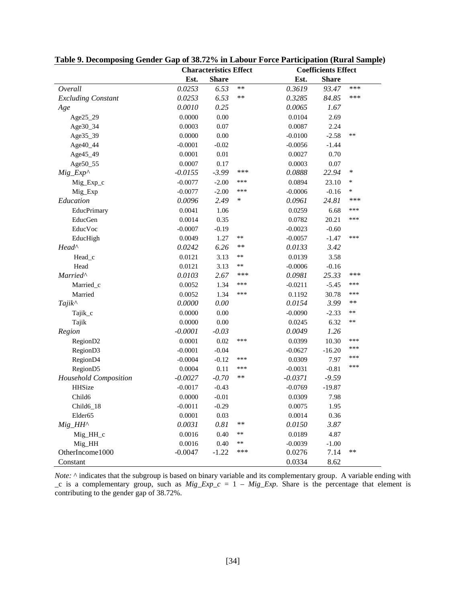|                           |           | <b>Characteristics Effect</b> |            | <b>Coefficients Effect</b> |              |        |  |
|---------------------------|-----------|-------------------------------|------------|----------------------------|--------------|--------|--|
|                           | Est.      | <b>Share</b>                  |            | Est.                       | <b>Share</b> |        |  |
| Overall                   | 0.0253    | 6.53                          | **         | 0.3619                     | 93.47        | ***    |  |
| <b>Excluding Constant</b> | 0.0253    | 6.53                          | **         | 0.3285                     | 84.85        | ***    |  |
| Age                       | 0.0010    | 0.25                          |            | 0.0065                     | 1.67         |        |  |
| Age25_29                  | 0.0000    | 0.00                          |            | 0.0104                     | 2.69         |        |  |
| Age30_34                  | 0.0003    | 0.07                          |            | 0.0087                     | 2.24         |        |  |
| Age35_39                  | 0.0000    | 0.00                          |            | $-0.0100$                  | $-2.58$      | **     |  |
| Age40_44                  | $-0.0001$ | $-0.02$                       |            | $-0.0056$                  | $-1.44$      |        |  |
| Age45_49                  | 0.0001    | $0.01\,$                      |            | 0.0027                     | 0.70         |        |  |
| Age50_55                  | 0.0007    | 0.17                          |            | 0.0003                     | 0.07         |        |  |
| $Mig\_Exp^{\wedge}$       | $-0.0155$ | $-3.99$                       | ***        | 0.0888                     | 22.94        | $\ast$ |  |
| Mig_Exp_c                 | $-0.0077$ | $-2.00$                       | ***        | 0.0894                     | 23.10        | ∗      |  |
| Mig_Exp                   | $-0.0077$ | $-2.00$                       | ***        | $-0.0006$                  | $-0.16$      | *      |  |
| Education                 | 0.0096    | 2.49                          | $\ast$     | 0.0961                     | 24.81        | ***    |  |
| EducPrimary               | 0.0041    | 1.06                          |            | 0.0259                     | 6.68         | ***    |  |
| EducGen                   | 0.0014    | 0.35                          |            | 0.0782                     | 20.21        | ***    |  |
| EducVoc                   | $-0.0007$ | $-0.19$                       |            | $-0.0023$                  | $-0.60$      |        |  |
| EducHigh                  | 0.0049    | 1.27                          | **         | $-0.0057$                  | $-1.47$      | ***    |  |
| Head <sup>^</sup>         | 0.0242    | 6.26                          | **         | 0.0133                     | 3.42         |        |  |
| Head_c                    | 0.0121    | 3.13                          | $***$      | 0.0139                     | 3.58         |        |  |
| Head                      | 0.0121    | 3.13                          | $***$      | $-0.0006$                  | $-0.16$      |        |  |
| Married^                  | 0.0103    | 2.67                          | ***        | 0.0981                     | 25.33        | ***    |  |
| Married_c                 | 0.0052    | 1.34                          | ***        | $-0.0211$                  | $-5.45$      | ***    |  |
| Married                   | 0.0052    | 1.34                          | ***        | 0.1192                     | 30.78        | ***    |  |
| Tajik^                    | 0.0000    | 0.00                          |            | 0.0154                     | 3.99         | $***$  |  |
| Tajik_c                   | 0.0000    | 0.00                          |            | $-0.0090$                  | $-2.33$      | **     |  |
| Tajik                     | 0.0000    | 0.00                          |            | 0.0245                     | 6.32         | $**$   |  |
| Region                    | $-0.0001$ | $-0.03$                       |            | 0.0049                     | 1.26         |        |  |
| RegionD <sub>2</sub>      | 0.0001    | 0.02                          | ***        | 0.0399                     | 10.30        | ***    |  |
| RegionD3                  | $-0.0001$ | $-0.04$                       |            | $-0.0627$                  | $-16.20$     | ***    |  |
| RegionD4                  | $-0.0004$ | $-0.12$                       | ***        | 0.0309                     | 7.97         | ***    |  |
| RegionD5                  | 0.0004    | 0.11                          | ***        | $-0.0031$                  | $-0.81$      | ***    |  |
| Household Composition     | $-0.0027$ | $-0.70$                       | **         | $-0.0371$                  | $-9.59$      |        |  |
| <b>HHSize</b>             | $-0.0017$ | $-0.43$                       |            | $-0.0769$                  | $-19.87$     |        |  |
| Child <sub>6</sub>        | 0.0000    | $-0.01$                       |            | 0.0309                     | 7.98         |        |  |
| Child6_18                 | $-0.0011$ | $-0.29$                       |            | 0.0075                     | 1.95         |        |  |
| Elder <sub>65</sub>       | 0.0001    | 0.03                          |            | 0.0014                     | 0.36         |        |  |
| $Mig$ _HH^                | 0.0031    | 0.81                          | $\ast\ast$ | 0.0150                     | 3.87         |        |  |
| Mig_HH_c                  | 0.0016    | 0.40                          | **         | 0.0189                     | 4.87         |        |  |
| Mig_HH                    | 0.0016    | 0.40                          | **         | $-0.0039$                  | $-1.00$      |        |  |
| OtherIncome1000           | $-0.0047$ | $-1.22$                       | ***        | 0.0276                     | 7.14         | **     |  |
| Constant                  |           |                               |            | 0.0334                     | 8.62         |        |  |

|  | Table 9. Decomposing Gender Gap of 38.72% in Labour Force Participation (Rural Sample) |  |
|--|----------------------------------------------------------------------------------------|--|
|  |                                                                                        |  |

*Note:* ^ indicates that the subgroup is based on binary variable and its complementary group. A variable ending with  $\sum c$  is a complementary group, such as  $Mig_{Exp}c = 1 - Mig_{Exp}$ . Share is the percentage that element is contributing to the gender gap of 38.72%.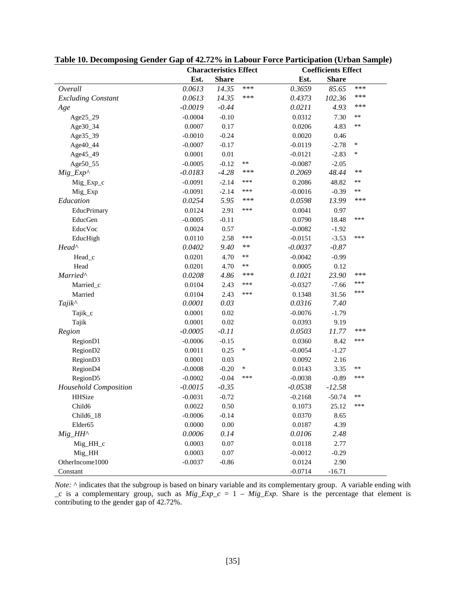|                           |           | <b>Characteristics Effect</b> |        |           | <b>Coefficients Effect</b> |        |  |  |
|---------------------------|-----------|-------------------------------|--------|-----------|----------------------------|--------|--|--|
|                           | Est.      | <b>Share</b>                  |        | Est.      | <b>Share</b>               |        |  |  |
| Overall                   | 0.0613    | 14.35                         | ***    | 0.3659    | 85.65                      | ***    |  |  |
| <b>Excluding Constant</b> | 0.0613    | 14.35                         | ***    | 0.4373    | 102.36                     | ***    |  |  |
| Age                       | $-0.0019$ | $-0.44$                       |        | 0.0211    | 4.93                       | ***    |  |  |
| Age25_29                  | $-0.0004$ | $-0.10$                       |        | 0.0312    | 7.30                       | **     |  |  |
| Age30_34                  | 0.0007    | 0.17                          |        | 0.0206    | 4.83                       | **     |  |  |
| Age35_39                  | $-0.0010$ | $-0.24$                       |        | 0.0020    | 0.46                       |        |  |  |
| Age40_44                  | $-0.0007$ | $-0.17$                       |        | $-0.0119$ | $-2.78$                    | $\ast$ |  |  |
| Age45_49                  | 0.0001    | $0.01\,$                      |        | $-0.0121$ | $-2.83$                    | ∗      |  |  |
| Age50_55                  | $-0.0005$ | $-0.12$                       | **     | $-0.0087$ | $-2.05$                    |        |  |  |
| $Mig\_Exp^{\wedge}$       | $-0.0183$ | $-4.28$                       | ***    | 0.2069    | 48.44                      | **     |  |  |
| Mig_Exp_c                 | $-0.0091$ | $-2.14$                       | ***    | 0.2086    | 48.82                      | **     |  |  |
| Mig_Exp                   | $-0.0091$ | $-2.14$                       | ***    | $-0.0016$ | $-0.39$                    | **     |  |  |
| Education                 | 0.0254    | 5.95                          | ***    | 0.0598    | 13.99                      | ***    |  |  |
| EducPrimary               | 0.0124    | 2.91                          | ***    | 0.0041    | 0.97                       |        |  |  |
| EducGen                   | $-0.0005$ | $-0.11$                       |        | 0.0790    | 18.48                      | ***    |  |  |
| EducVoc                   | 0.0024    | 0.57                          |        | $-0.0082$ | $-1.92$                    |        |  |  |
| EducHigh                  | 0.0110    | 2.58                          | ***    | $-0.0151$ | $-3.53$                    | ***    |  |  |
| Head <sup>^</sup>         | 0.0402    | 9.40                          | **     | $-0.0037$ | $-0.87$                    |        |  |  |
| Head_c                    | 0.0201    | 4.70                          | $**$   | $-0.0042$ | $-0.99$                    |        |  |  |
| Head                      | 0.0201    | 4.70                          | **     | 0.0005    | 0.12                       |        |  |  |
| Married^                  | 0.0208    | 4.86                          | ***    | 0.1021    | 23.90                      | ***    |  |  |
| Married_c                 | 0.0104    | 2.43                          | ***    | $-0.0327$ | $-7.66$                    | ***    |  |  |
| Married                   | 0.0104    | 2.43                          | ***    | 0.1348    | 31.56                      | ***    |  |  |
| Tajik^                    | 0.0001    | 0.03                          |        | 0.0316    | 7.40                       |        |  |  |
| Tajik_c                   | 0.0001    | 0.02                          |        | $-0.0076$ | $-1.79$                    |        |  |  |
| Tajik                     | 0.0001    | $0.02\,$                      |        | 0.0393    | 9.19                       |        |  |  |
| Region                    | $-0.0005$ | $-0.11$                       |        | 0.0503    | 11.77                      | ***    |  |  |
| RegionD1                  | $-0.0006$ | $-0.15$                       |        | 0.0360    | 8.42                       | ***    |  |  |
| RegionD <sub>2</sub>      | 0.0011    | 0.25                          | $\ast$ | $-0.0054$ | $-1.27$                    |        |  |  |
| Region <sub>D3</sub>      | 0.0001    | 0.03                          |        | 0.0092    | 2.16                       |        |  |  |
| RegionD4                  | $-0.0008$ | $-0.20$                       | $\ast$ | 0.0143    | 3.35                       | **     |  |  |
| Region <sub>D5</sub>      | $-0.0002$ | $-0.04$                       | ***    | $-0.0038$ | $-0.89$                    | ***    |  |  |
| Household Composition     | $-0.0015$ | $-0.35$                       |        | $-0.0538$ | $-12.58$                   |        |  |  |
| HHSize                    | $-0.0031$ | $-0.72$                       |        | $-0.2168$ | $-50.74$                   | **     |  |  |
| Child <sub>6</sub>        | 0.0022    | 0.50                          |        | 0.1073    | 25.12                      | ***    |  |  |
| Child6_18                 | $-0.0006$ | $-0.14$                       |        | 0.0370    | 8.65                       |        |  |  |
| Elder <sub>65</sub>       | 0.0000    | $0.00\,$                      |        | 0.0187    | 4.39                       |        |  |  |
| $Mig$ _HH^                | 0.0006    | 0.14                          |        | 0.0106    | 2.48                       |        |  |  |
| $Mig_HH_C$                | 0.0003    | 0.07                          |        | 0.0118    | 2.77                       |        |  |  |
| Mig_HH                    | 0.0003    | $0.07\,$                      |        | $-0.0012$ | $-0.29$                    |        |  |  |
| OtherIncome1000           | $-0.0037$ | $-0.86$                       |        | 0.0124    | 2.90                       |        |  |  |
| Constant                  |           |                               |        | $-0.0714$ | $-16.71$                   |        |  |  |

|  | Table 10. Decomposing Gender Gap of 42.72% in Labour Force Participation (Urban Sample) |  |
|--|-----------------------------------------------------------------------------------------|--|
|  |                                                                                         |  |

*Note:* ^ indicates that the subgroup is based on binary variable and its complementary group. A variable ending with \_c is a complementary group, such as *Mig\_Exp\_c* = 1 – *Mig\_Exp*. Share is the percentage that element is contributing to the gender gap of 42.72%.